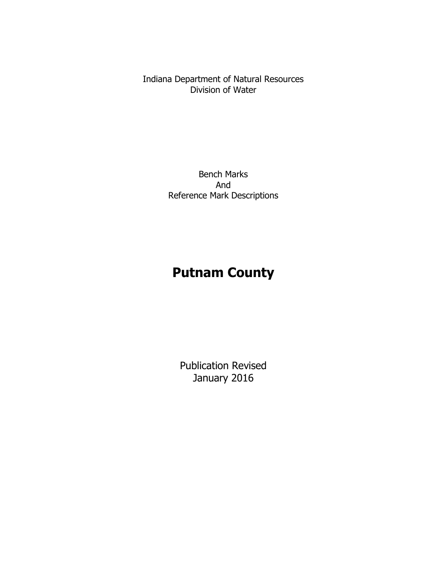Indiana Department of Natural Resources Division of Water

> Bench Marks And Reference Mark Descriptions

# **Putnam County**

Publication Revised January 2016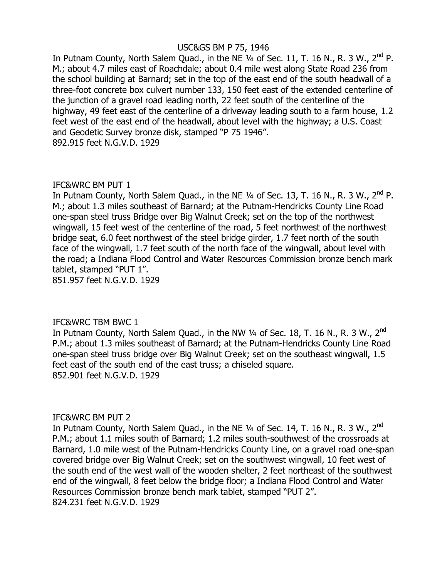# USC&GS BM P 75, 1946

In Putnam County, North Salem Quad., in the NE  $\frac{1}{4}$  of Sec. 11, T. 16 N., R. 3 W., 2<sup>nd</sup> P. M.; about 4.7 miles east of Roachdale; about 0.4 mile west along State Road 236 from the school building at Barnard; set in the top of the east end of the south headwall of a three-foot concrete box culvert number 133, 150 feet east of the extended centerline of the junction of a gravel road leading north, 22 feet south of the centerline of the highway, 49 feet east of the centerline of a driveway leading south to a farm house, 1.2 feet west of the east end of the headwall, about level with the highway; a U.S. Coast and Geodetic Survey bronze disk, stamped "P 75 1946". 892.915 feet N.G.V.D. 1929

# IFC&WRC BM PUT 1

In Putnam County, North Salem Quad., in the NE  $\frac{1}{4}$  of Sec. 13, T. 16 N., R. 3 W., 2<sup>nd</sup> P. M.; about 1.3 miles southeast of Barnard; at the Putnam-Hendricks County Line Road one-span steel truss Bridge over Big Walnut Creek; set on the top of the northwest wingwall, 15 feet west of the centerline of the road, 5 feet northwest of the northwest bridge seat, 6.0 feet northwest of the steel bridge girder, 1.7 feet north of the south face of the wingwall, 1.7 feet south of the north face of the wingwall, about level with the road; a Indiana Flood Control and Water Resources Commission bronze bench mark tablet, stamped "PUT 1".

851.957 feet N.G.V.D. 1929

# IFC&WRC TBM BWC 1

In Putnam County, North Salem Quad., in the NW 1/4 of Sec. 18, T. 16 N., R. 3 W., 2<sup>nd</sup> P.M.; about 1.3 miles southeast of Barnard; at the Putnam-Hendricks County Line Road one-span steel truss bridge over Big Walnut Creek; set on the southeast wingwall, 1.5 feet east of the south end of the east truss; a chiseled square. 852.901 feet N.G.V.D. 1929

# IFC&WRC BM PUT 2

In Putnam County, North Salem Quad., in the NE 1/4 of Sec. 14, T. 16 N., R. 3 W., 2<sup>nd</sup> P.M.; about 1.1 miles south of Barnard; 1.2 miles south-southwest of the crossroads at Barnard, 1.0 mile west of the Putnam-Hendricks County Line, on a gravel road one-span covered bridge over Big Walnut Creek; set on the southwest wingwall, 10 feet west of the south end of the west wall of the wooden shelter, 2 feet northeast of the southwest end of the wingwall, 8 feet below the bridge floor; a Indiana Flood Control and Water Resources Commission bronze bench mark tablet, stamped "PUT 2". 824.231 feet N.G.V.D. 1929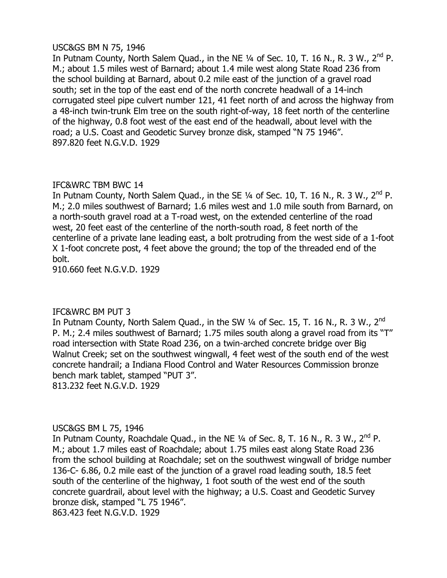# USC&GS BM N 75, 1946

In Putnam County, North Salem Quad., in the NE  $\frac{1}{4}$  of Sec. 10, T. 16 N., R. 3 W., 2<sup>nd</sup> P. M.; about 1.5 miles west of Barnard; about 1.4 mile west along State Road 236 from the school building at Barnard, about 0.2 mile east of the junction of a gravel road south; set in the top of the east end of the north concrete headwall of a 14-inch corrugated steel pipe culvert number 121, 41 feet north of and across the highway from a 48-inch twin-trunk Elm tree on the south right-of-way, 18 feet north of the centerline of the highway, 0.8 foot west of the east end of the headwall, about level with the road; a U.S. Coast and Geodetic Survey bronze disk, stamped "N 75 1946". 897.820 feet N.G.V.D. 1929

# IFC&WRC TBM BWC 14

In Putnam County, North Salem Quad., in the SE  $\frac{1}{4}$  of Sec. 10, T. 16 N., R. 3 W., 2<sup>nd</sup> P. M.; 2.0 miles southwest of Barnard; 1.6 miles west and 1.0 mile south from Barnard, on a north-south gravel road at a T-road west, on the extended centerline of the road west, 20 feet east of the centerline of the north-south road, 8 feet north of the centerline of a private lane leading east, a bolt protruding from the west side of a 1-foot X 1-foot concrete post, 4 feet above the ground; the top of the threaded end of the bolt.

910.660 feet N.G.V.D. 1929

# IFC&WRC BM PUT 3

In Putnam County, North Salem Quad., in the SW  $\frac{1}{4}$  of Sec. 15, T. 16 N., R. 3 W., 2<sup>nd</sup> P. M.; 2.4 miles southwest of Barnard; 1.75 miles south along a gravel road from its "T" road intersection with State Road 236, on a twin-arched concrete bridge over Big Walnut Creek; set on the southwest wingwall, 4 feet west of the south end of the west concrete handrail; a Indiana Flood Control and Water Resources Commission bronze bench mark tablet, stamped "PUT 3". 813.232 feet N.G.V.D. 1929

# USC&GS BM L 75, 1946

In Putnam County, Roachdale Quad., in the NE  $\frac{1}{4}$  of Sec. 8, T. 16 N., R. 3 W., 2<sup>nd</sup> P. M.; about 1.7 miles east of Roachdale; about 1.75 miles east along State Road 236 from the school building at Roachdale; set on the southwest wingwall of bridge number 136-C- 6.86, 0.2 mile east of the junction of a gravel road leading south, 18.5 feet south of the centerline of the highway, 1 foot south of the west end of the south concrete guardrail, about level with the highway; a U.S. Coast and Geodetic Survey bronze disk, stamped "L 75 1946".

863.423 feet N.G.V.D. 1929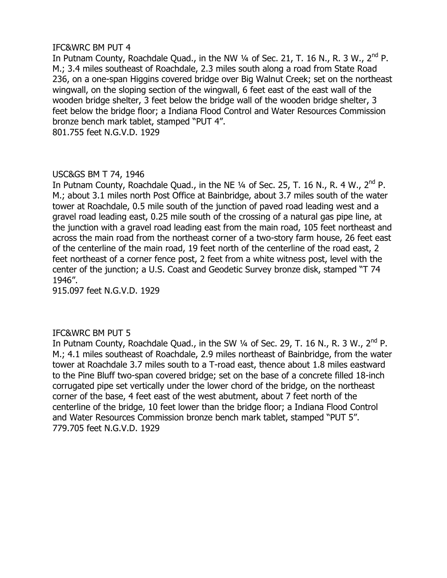In Putnam County, Roachdale Quad., in the NW  $\frac{1}{4}$  of Sec. 21, T. 16 N., R. 3 W., 2<sup>nd</sup> P. M.; 3.4 miles southeast of Roachdale, 2.3 miles south along a road from State Road 236, on a one-span Higgins covered bridge over Big Walnut Creek; set on the northeast wingwall, on the sloping section of the wingwall, 6 feet east of the east wall of the wooden bridge shelter, 3 feet below the bridge wall of the wooden bridge shelter, 3 feet below the bridge floor; a Indiana Flood Control and Water Resources Commission bronze bench mark tablet, stamped "PUT 4".

801.755 feet N.G.V.D. 1929

# USC&GS BM T 74, 1946

In Putnam County, Roachdale Quad., in the NE  $\frac{1}{4}$  of Sec. 25, T. 16 N., R. 4 W., 2<sup>nd</sup> P. M.; about 3.1 miles north Post Office at Bainbridge, about 3.7 miles south of the water tower at Roachdale, 0.5 mile south of the junction of paved road leading west and a gravel road leading east, 0.25 mile south of the crossing of a natural gas pipe line, at the junction with a gravel road leading east from the main road, 105 feet northeast and across the main road from the northeast corner of a two-story farm house, 26 feet east of the centerline of the main road, 19 feet north of the centerline of the road east, 2 feet northeast of a corner fence post, 2 feet from a white witness post, level with the center of the junction; a U.S. Coast and Geodetic Survey bronze disk, stamped "T 74 1946".

915.097 feet N.G.V.D. 1929

# IFC&WRC BM PUT 5

In Putnam County, Roachdale Quad., in the SW  $\frac{1}{4}$  of Sec. 29, T. 16 N., R. 3 W., 2<sup>nd</sup> P. M.; 4.1 miles southeast of Roachdale, 2.9 miles northeast of Bainbridge, from the water tower at Roachdale 3.7 miles south to a T-road east, thence about 1.8 miles eastward to the Pine Bluff two-span covered bridge; set on the base of a concrete filled 18-inch corrugated pipe set vertically under the lower chord of the bridge, on the northeast corner of the base, 4 feet east of the west abutment, about 7 feet north of the centerline of the bridge, 10 feet lower than the bridge floor; a Indiana Flood Control and Water Resources Commission bronze bench mark tablet, stamped "PUT 5". 779.705 feet N.G.V.D. 1929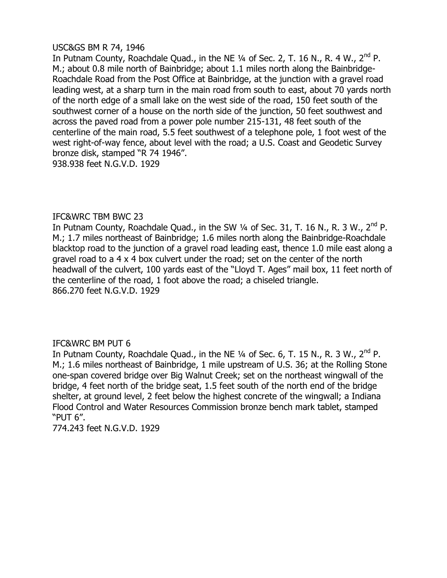## USC&GS BM R 74, 1946

In Putnam County, Roachdale Quad., in the NE  $\frac{1}{4}$  of Sec. 2, T. 16 N., R. 4 W.,  $2^{nd}$  P. M.; about 0.8 mile north of Bainbridge; about 1.1 miles north along the Bainbridge-Roachdale Road from the Post Office at Bainbridge, at the junction with a gravel road leading west, at a sharp turn in the main road from south to east, about 70 yards north of the north edge of a small lake on the west side of the road, 150 feet south of the southwest corner of a house on the north side of the junction, 50 feet southwest and across the paved road from a power pole number 215-131, 48 feet south of the centerline of the main road, 5.5 feet southwest of a telephone pole, 1 foot west of the west right-of-way fence, about level with the road; a U.S. Coast and Geodetic Survey bronze disk, stamped "R 74 1946". 938.938 feet N.G.V.D. 1929

# IFC&WRC TBM BWC 23

In Putnam County, Roachdale Quad., in the SW  $\frac{1}{4}$  of Sec. 31, T. 16 N., R. 3 W., 2<sup>nd</sup> P. M.; 1.7 miles northeast of Bainbridge; 1.6 miles north along the Bainbridge-Roachdale blacktop road to the junction of a gravel road leading east, thence 1.0 mile east along a gravel road to a 4 x 4 box culvert under the road; set on the center of the north headwall of the culvert, 100 yards east of the "Lloyd T. Ages" mail box, 11 feet north of the centerline of the road, 1 foot above the road; a chiseled triangle. 866.270 feet N.G.V.D. 1929

# IFC&WRC BM PUT 6

In Putnam County, Roachdale Quad., in the NE  $\frac{1}{4}$  of Sec. 6, T. 15 N., R. 3 W., 2<sup>nd</sup> P. M.; 1.6 miles northeast of Bainbridge, 1 mile upstream of U.S. 36; at the Rolling Stone one-span covered bridge over Big Walnut Creek; set on the northeast wingwall of the bridge, 4 feet north of the bridge seat, 1.5 feet south of the north end of the bridge shelter, at ground level, 2 feet below the highest concrete of the wingwall; a Indiana Flood Control and Water Resources Commission bronze bench mark tablet, stamped "PUT 6".

774.243 feet N.G.V.D. 1929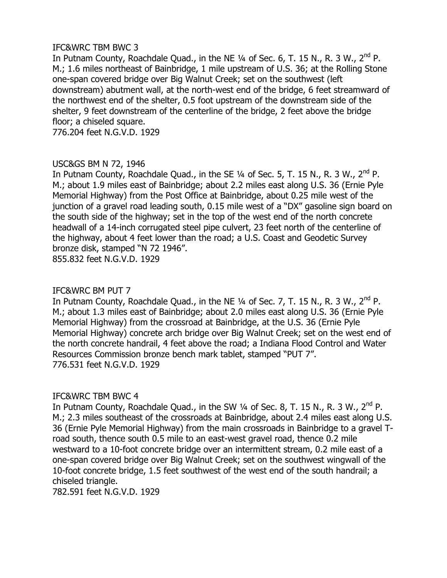# IFC&WRC TBM BWC 3

In Putnam County, Roachdale Quad., in the NE  $\frac{1}{4}$  of Sec. 6, T. 15 N., R. 3 W., 2<sup>nd</sup> P. M.; 1.6 miles northeast of Bainbridge, 1 mile upstream of U.S. 36; at the Rolling Stone one-span covered bridge over Big Walnut Creek; set on the southwest (left downstream) abutment wall, at the north-west end of the bridge, 6 feet streamward of the northwest end of the shelter, 0.5 foot upstream of the downstream side of the shelter, 9 feet downstream of the centerline of the bridge, 2 feet above the bridge floor; a chiseled square.

776.204 feet N.G.V.D. 1929

# USC&GS BM N 72, 1946

In Putnam County, Roachdale Quad., in the SE  $\frac{1}{4}$  of Sec. 5, T. 15 N., R. 3 W., 2<sup>nd</sup> P. M.; about 1.9 miles east of Bainbridge; about 2.2 miles east along U.S. 36 (Ernie Pyle Memorial Highway) from the Post Office at Bainbridge, about 0.25 mile west of the junction of a gravel road leading south, 0.15 mile west of a "DX" gasoline sign board on the south side of the highway; set in the top of the west end of the north concrete headwall of a 14-inch corrugated steel pipe culvert, 23 feet north of the centerline of the highway, about 4 feet lower than the road; a U.S. Coast and Geodetic Survey bronze disk, stamped "N 72 1946". 855.832 feet N.G.V.D. 1929

## IFC&WRC BM PUT 7

In Putnam County, Roachdale Quad., in the NE  $\frac{1}{4}$  of Sec. 7, T. 15 N., R. 3 W.,  $2^{nd}$  P. M.; about 1.3 miles east of Bainbridge; about 2.0 miles east along U.S. 36 (Ernie Pyle Memorial Highway) from the crossroad at Bainbridge, at the U.S. 36 (Ernie Pyle Memorial Highway) concrete arch bridge over Big Walnut Creek; set on the west end of the north concrete handrail, 4 feet above the road; a Indiana Flood Control and Water Resources Commission bronze bench mark tablet, stamped "PUT 7". 776.531 feet N.G.V.D. 1929

# IFC&WRC TBM BWC 4

In Putnam County, Roachdale Quad., in the SW  $\frac{1}{4}$  of Sec. 8, T. 15 N., R. 3 W., 2<sup>nd</sup> P. M.; 2.3 miles southeast of the crossroads at Bainbridge, about 2.4 miles east along U.S. 36 (Ernie Pyle Memorial Highway) from the main crossroads in Bainbridge to a gravel Troad south, thence south 0.5 mile to an east-west gravel road, thence 0.2 mile westward to a 10-foot concrete bridge over an intermittent stream, 0.2 mile east of a one-span covered bridge over Big Walnut Creek; set on the southwest wingwall of the 10-foot concrete bridge, 1.5 feet southwest of the west end of the south handrail; a chiseled triangle.

782.591 feet N.G.V.D. 1929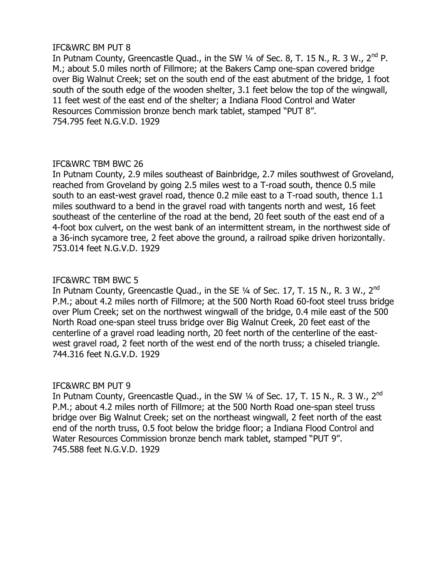In Putnam County, Greencastle Quad., in the SW  $\frac{1}{4}$  of Sec. 8, T. 15 N., R. 3 W.,  $2^{nd}$  P. M.; about 5.0 miles north of Fillmore; at the Bakers Camp one-span covered bridge over Big Walnut Creek; set on the south end of the east abutment of the bridge, 1 foot south of the south edge of the wooden shelter, 3.1 feet below the top of the wingwall, 11 feet west of the east end of the shelter; a Indiana Flood Control and Water Resources Commission bronze bench mark tablet, stamped "PUT 8". 754.795 feet N.G.V.D. 1929

# IFC&WRC TBM BWC 26

In Putnam County, 2.9 miles southeast of Bainbridge, 2.7 miles southwest of Groveland, reached from Groveland by going 2.5 miles west to a T-road south, thence 0.5 mile south to an east-west gravel road, thence 0.2 mile east to a T-road south, thence 1.1 miles southward to a bend in the gravel road with tangents north and west, 16 feet southeast of the centerline of the road at the bend, 20 feet south of the east end of a 4-foot box culvert, on the west bank of an intermittent stream, in the northwest side of a 36-inch sycamore tree, 2 feet above the ground, a railroad spike driven horizontally. 753.014 feet N.G.V.D. 1929

# IFC&WRC TBM BWC 5

In Putnam County, Greencastle Quad., in the SE 1⁄4 of Sec. 17, T. 15 N., R. 3 W., 2<sup>nd</sup> P.M.; about 4.2 miles north of Fillmore; at the 500 North Road 60-foot steel truss bridge over Plum Creek; set on the northwest wingwall of the bridge, 0.4 mile east of the 500 North Road one-span steel truss bridge over Big Walnut Creek, 20 feet east of the centerline of a gravel road leading north, 20 feet north of the centerline of the eastwest gravel road, 2 feet north of the west end of the north truss; a chiseled triangle. 744.316 feet N.G.V.D. 1929

# IFC&WRC BM PUT 9

In Putnam County, Greencastle Quad., in the SW 1/4 of Sec. 17, T. 15 N., R. 3 W., 2<sup>nd</sup> P.M.; about 4.2 miles north of Fillmore; at the 500 North Road one-span steel truss bridge over Big Walnut Creek; set on the northeast wingwall, 2 feet north of the east end of the north truss, 0.5 foot below the bridge floor; a Indiana Flood Control and Water Resources Commission bronze bench mark tablet, stamped "PUT 9". 745.588 feet N.G.V.D. 1929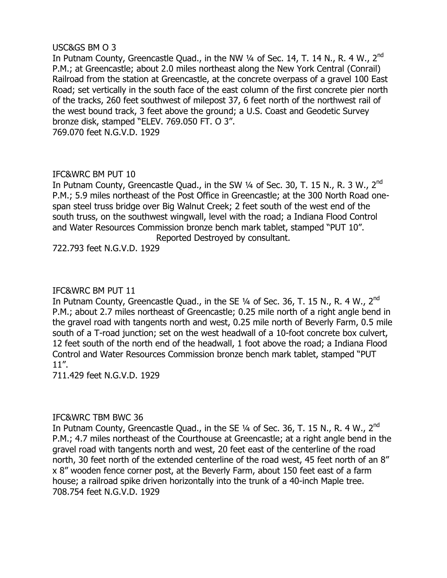# USC&GS BM O 3

In Putnam County, Greencastle Quad., in the NW 1/4 of Sec. 14, T. 14 N., R. 4 W., 2<sup>nd</sup> P.M.; at Greencastle; about 2.0 miles northeast along the New York Central (Conrail) Railroad from the station at Greencastle, at the concrete overpass of a gravel 100 East Road; set vertically in the south face of the east column of the first concrete pier north of the tracks, 260 feet southwest of milepost 37, 6 feet north of the northwest rail of the west bound track, 3 feet above the ground; a U.S. Coast and Geodetic Survey bronze disk, stamped "ELEV. 769.050 FT. O 3". 769.070 feet N.G.V.D. 1929

# IFC&WRC BM PUT 10

In Putnam County, Greencastle Quad., in the SW 1/4 of Sec. 30, T. 15 N., R. 3 W., 2<sup>nd</sup> P.M.; 5.9 miles northeast of the Post Office in Greencastle; at the 300 North Road onespan steel truss bridge over Big Walnut Creek; 2 feet south of the west end of the south truss, on the southwest wingwall, level with the road; a Indiana Flood Control and Water Resources Commission bronze bench mark tablet, stamped "PUT 10". Reported Destroyed by consultant.

722.793 feet N.G.V.D. 1929

# IFC&WRC BM PUT 11

In Putnam County, Greencastle Quad., in the SE 1/4 of Sec. 36, T. 15 N., R. 4 W., 2<sup>nd</sup> P.M.; about 2.7 miles northeast of Greencastle; 0.25 mile north of a right angle bend in the gravel road with tangents north and west, 0.25 mile north of Beverly Farm, 0.5 mile south of a T-road junction; set on the west headwall of a 10-foot concrete box culvert, 12 feet south of the north end of the headwall, 1 foot above the road; a Indiana Flood Control and Water Resources Commission bronze bench mark tablet, stamped "PUT 11".

711.429 feet N.G.V.D. 1929

# IFC&WRC TBM BWC 36

In Putnam County, Greencastle Quad., in the SE 1⁄4 of Sec. 36, T. 15 N., R. 4 W., 2<sup>nd</sup> P.M.; 4.7 miles northeast of the Courthouse at Greencastle; at a right angle bend in the gravel road with tangents north and west, 20 feet east of the centerline of the road north, 30 feet north of the extended centerline of the road west, 45 feet north of an 8" x 8" wooden fence corner post, at the Beverly Farm, about 150 feet east of a farm house; a railroad spike driven horizontally into the trunk of a 40-inch Maple tree. 708.754 feet N.G.V.D. 1929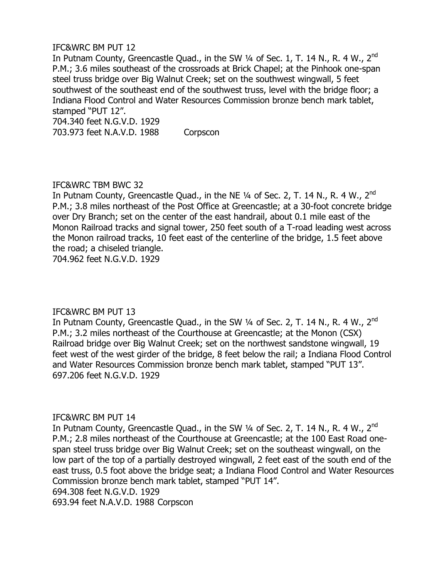In Putnam County, Greencastle Quad., in the SW 1/4 of Sec. 1, T. 14 N., R. 4 W., 2<sup>nd</sup> P.M.; 3.6 miles southeast of the crossroads at Brick Chapel; at the Pinhook one-span steel truss bridge over Big Walnut Creek; set on the southwest wingwall, 5 feet southwest of the southeast end of the southwest truss, level with the bridge floor; a Indiana Flood Control and Water Resources Commission bronze bench mark tablet, stamped "PUT 12".

704.340 feet N.G.V.D. 1929 703.973 feet N.A.V.D. 1988 Corpscon

# IFC&WRC TBM BWC 32

In Putnam County, Greencastle Quad., in the NE 1/4 of Sec. 2, T. 14 N., R. 4 W., 2<sup>nd</sup> P.M.; 3.8 miles northeast of the Post Office at Greencastle; at a 30-foot concrete bridge over Dry Branch; set on the center of the east handrail, about 0.1 mile east of the Monon Railroad tracks and signal tower, 250 feet south of a T-road leading west across the Monon railroad tracks, 10 feet east of the centerline of the bridge, 1.5 feet above the road; a chiseled triangle.

704.962 feet N.G.V.D. 1929

# IFC&WRC BM PUT 13

In Putnam County, Greencastle Quad., in the SW 1/4 of Sec. 2, T. 14 N., R. 4 W., 2<sup>nd</sup> P.M.; 3.2 miles northeast of the Courthouse at Greencastle; at the Monon (CSX) Railroad bridge over Big Walnut Creek; set on the northwest sandstone wingwall, 19 feet west of the west girder of the bridge, 8 feet below the rail; a Indiana Flood Control and Water Resources Commission bronze bench mark tablet, stamped "PUT 13". 697.206 feet N.G.V.D. 1929

# IFC&WRC BM PUT 14

In Putnam County, Greencastle Quad., in the SW 1/4 of Sec. 2, T. 14 N., R. 4 W., 2<sup>nd</sup> P.M.; 2.8 miles northeast of the Courthouse at Greencastle; at the 100 East Road onespan steel truss bridge over Big Walnut Creek; set on the southeast wingwall, on the low part of the top of a partially destroyed wingwall, 2 feet east of the south end of the east truss, 0.5 foot above the bridge seat; a Indiana Flood Control and Water Resources Commission bronze bench mark tablet, stamped "PUT 14". 694.308 feet N.G.V.D. 1929

693.94 feet N.A.V.D. 1988 Corpscon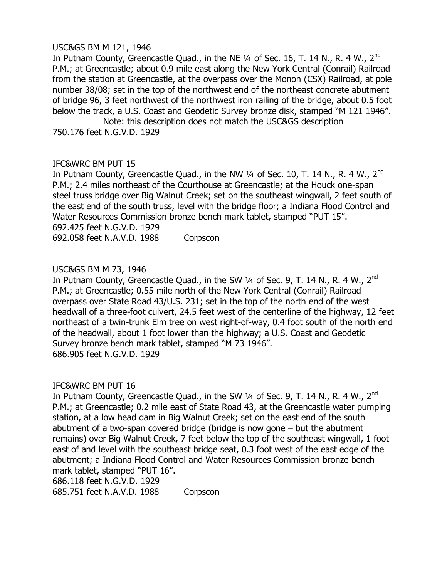# USC&GS BM M 121, 1946

In Putnam County, Greencastle Quad., in the NE 1/4 of Sec. 16, T. 14 N., R. 4 W., 2<sup>nd</sup> P.M.; at Greencastle; about 0.9 mile east along the New York Central (Conrail) Railroad from the station at Greencastle, at the overpass over the Monon (CSX) Railroad, at pole number 38/08; set in the top of the northwest end of the northeast concrete abutment of bridge 96, 3 feet northwest of the northwest iron railing of the bridge, about 0.5 foot below the track, a U.S. Coast and Geodetic Survey bronze disk, stamped "M 121 1946".

Note: this description does not match the USC&GS description 750.176 feet N.G.V.D. 1929

# IFC&WRC BM PUT 15

In Putnam County, Greencastle Quad., in the NW 1/4 of Sec. 10, T. 14 N., R. 4 W., 2<sup>nd</sup> P.M.; 2.4 miles northeast of the Courthouse at Greencastle; at the Houck one-span steel truss bridge over Big Walnut Creek; set on the southeast wingwall, 2 feet south of the east end of the south truss, level with the bridge floor; a Indiana Flood Control and Water Resources Commission bronze bench mark tablet, stamped "PUT 15". 692.425 feet N.G.V.D. 1929

692.058 feet N.A.V.D. 1988 Corpscon

# USC&GS BM M 73, 1946

In Putnam County, Greencastle Quad., in the SW 1/4 of Sec. 9, T. 14 N., R. 4 W., 2<sup>nd</sup> P.M.; at Greencastle; 0.55 mile north of the New York Central (Conrail) Railroad overpass over State Road 43/U.S. 231; set in the top of the north end of the west headwall of a three-foot culvert, 24.5 feet west of the centerline of the highway, 12 feet northeast of a twin-trunk Elm tree on west right-of-way, 0.4 foot south of the north end of the headwall, about 1 foot lower than the highway; a U.S. Coast and Geodetic Survey bronze bench mark tablet, stamped "M 73 1946". 686.905 feet N.G.V.D. 1929

#### IFC&WRC BM PUT 16

In Putnam County, Greencastle Quad., in the SW 1/4 of Sec. 9, T. 14 N., R. 4 W., 2<sup>nd</sup> P.M.; at Greencastle; 0.2 mile east of State Road 43, at the Greencastle water pumping station, at a low head dam in Big Walnut Creek; set on the east end of the south abutment of a two-span covered bridge (bridge is now gone – but the abutment remains) over Big Walnut Creek, 7 feet below the top of the southeast wingwall, 1 foot east of and level with the southeast bridge seat, 0.3 foot west of the east edge of the abutment; a Indiana Flood Control and Water Resources Commission bronze bench mark tablet, stamped "PUT 16".

686.118 feet N.G.V.D. 1929

685.751 feet N.A.V.D. 1988 Corpscon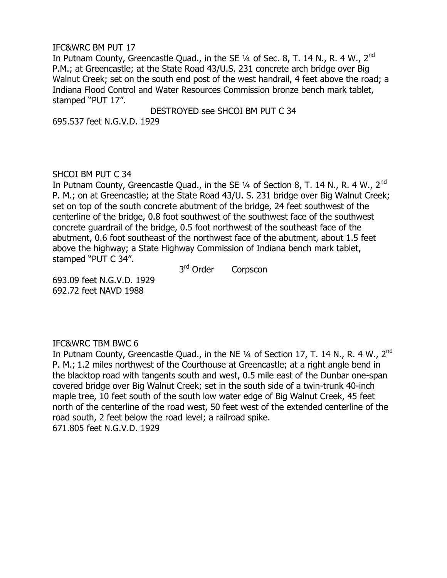In Putnam County, Greencastle Quad., in the SE 1/4 of Sec. 8, T. 14 N., R. 4 W., 2<sup>nd</sup> P.M.; at Greencastle; at the State Road 43/U.S. 231 concrete arch bridge over Big Walnut Creek; set on the south end post of the west handrail, 4 feet above the road; a Indiana Flood Control and Water Resources Commission bronze bench mark tablet, stamped "PUT 17".

DESTROYED see SHCOI BM PUT C 34

695.537 feet N.G.V.D. 1929

#### SHCOI BM PUT C 34

In Putnam County, Greencastle Quad., in the SE 1/4 of Section 8, T. 14 N., R. 4 W., 2<sup>nd</sup> P. M.; on at Greencastle; at the State Road 43/U. S. 231 bridge over Big Walnut Creek; set on top of the south concrete abutment of the bridge, 24 feet southwest of the centerline of the bridge, 0.8 foot southwest of the southwest face of the southwest concrete guardrail of the bridge, 0.5 foot northwest of the southeast face of the abutment, 0.6 foot southeast of the northwest face of the abutment, about 1.5 feet above the highway; a State Highway Commission of Indiana bench mark tablet, stamped "PUT C 34".

 $3<sup>rd</sup>$  Order Corpscon

693.09 feet N.G.V.D. 1929 692.72 feet NAVD 1988

# IFC&WRC TBM BWC 6

In Putnam County, Greencastle Quad., in the NE 1/4 of Section 17, T. 14 N., R. 4 W., 2<sup>nd</sup> P. M.; 1.2 miles northwest of the Courthouse at Greencastle; at a right angle bend in the blacktop road with tangents south and west, 0.5 mile east of the Dunbar one-span covered bridge over Big Walnut Creek; set in the south side of a twin-trunk 40-inch maple tree, 10 feet south of the south low water edge of Big Walnut Creek, 45 feet north of the centerline of the road west, 50 feet west of the extended centerline of the road south, 2 feet below the road level; a railroad spike. 671.805 feet N.G.V.D. 1929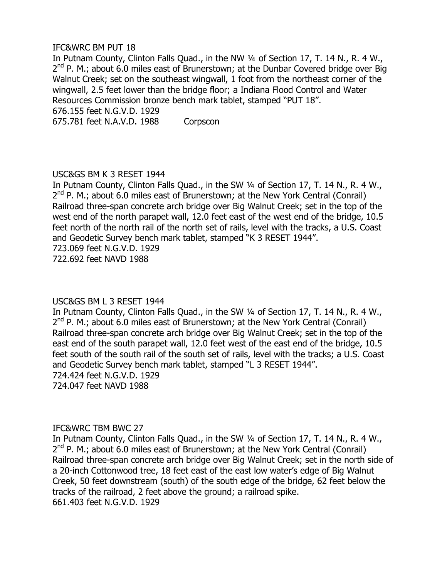In Putnam County, Clinton Falls Quad., in the NW ¼ of Section 17, T. 14 N., R. 4 W., 2<sup>nd</sup> P. M.; about 6.0 miles east of Brunerstown; at the Dunbar Covered bridge over Big Walnut Creek; set on the southeast wingwall, 1 foot from the northeast corner of the wingwall, 2.5 feet lower than the bridge floor; a Indiana Flood Control and Water Resources Commission bronze bench mark tablet, stamped "PUT 18".

676.155 feet N.G.V.D. 1929

675.781 feet N.A.V.D. 1988 Corpscon

# USC&GS BM K 3 RESET 1944

In Putnam County, Clinton Falls Quad., in the SW ¼ of Section 17, T. 14 N., R. 4 W., 2<sup>nd</sup> P. M.; about 6.0 miles east of Brunerstown; at the New York Central (Conrail) Railroad three-span concrete arch bridge over Big Walnut Creek; set in the top of the west end of the north parapet wall, 12.0 feet east of the west end of the bridge, 10.5 feet north of the north rail of the north set of rails, level with the tracks, a U.S. Coast and Geodetic Survey bench mark tablet, stamped "K 3 RESET 1944". 723.069 feet N.G.V.D. 1929 722.692 feet NAVD 1988

USC&GS BM L 3 RESET 1944 In Putnam County, Clinton Falls Quad., in the SW ¼ of Section 17, T. 14 N., R. 4 W., 2<sup>nd</sup> P. M.; about 6.0 miles east of Brunerstown; at the New York Central (Conrail) Railroad three-span concrete arch bridge over Big Walnut Creek; set in the top of the east end of the south parapet wall, 12.0 feet west of the east end of the bridge, 10.5 feet south of the south rail of the south set of rails, level with the tracks; a U.S. Coast and Geodetic Survey bench mark tablet, stamped "L 3 RESET 1944". 724.424 feet N.G.V.D. 1929

724.047 feet NAVD 1988

# IFC&WRC TBM BWC 27

In Putnam County, Clinton Falls Quad., in the SW ¼ of Section 17, T. 14 N., R. 4 W., 2<sup>nd</sup> P. M.; about 6.0 miles east of Brunerstown; at the New York Central (Conrail) Railroad three-span concrete arch bridge over Big Walnut Creek; set in the north side of a 20-inch Cottonwood tree, 18 feet east of the east low water's edge of Big Walnut Creek, 50 feet downstream (south) of the south edge of the bridge, 62 feet below the tracks of the railroad, 2 feet above the ground; a railroad spike. 661.403 feet N.G.V.D. 1929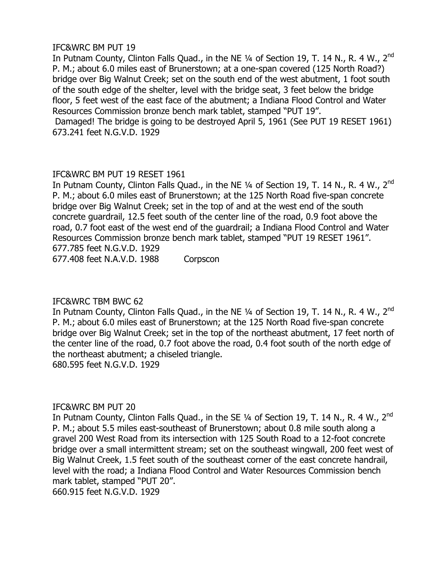In Putnam County, Clinton Falls Quad., in the NE 1/4 of Section 19, T. 14 N., R. 4 W., 2<sup>nd</sup> P. M.; about 6.0 miles east of Brunerstown; at a one-span covered (125 North Road?) bridge over Big Walnut Creek; set on the south end of the west abutment, 1 foot south of the south edge of the shelter, level with the bridge seat, 3 feet below the bridge floor, 5 feet west of the east face of the abutment; a Indiana Flood Control and Water Resources Commission bronze bench mark tablet, stamped "PUT 19".

Damaged! The bridge is going to be destroyed April 5, 1961 (See PUT 19 RESET 1961) 673.241 feet N.G.V.D. 1929

# IFC&WRC BM PUT 19 RESET 1961

In Putnam County, Clinton Falls Quad., in the NE 1/4 of Section 19, T. 14 N., R. 4 W., 2<sup>nd</sup> P. M.; about 6.0 miles east of Brunerstown; at the 125 North Road five-span concrete bridge over Big Walnut Creek; set in the top of and at the west end of the south concrete guardrail, 12.5 feet south of the center line of the road, 0.9 foot above the road, 0.7 foot east of the west end of the guardrail; a Indiana Flood Control and Water Resources Commission bronze bench mark tablet, stamped "PUT 19 RESET 1961". 677.785 feet N.G.V.D. 1929

677.408 feet N.A.V.D. 1988 Corpscon

# IFC&WRC TBM BWC 62

In Putnam County, Clinton Falls Quad., in the NE 1/4 of Section 19, T. 14 N., R. 4 W., 2<sup>nd</sup> P. M.; about 6.0 miles east of Brunerstown; at the 125 North Road five-span concrete bridge over Big Walnut Creek; set in the top of the northeast abutment, 17 feet north of the center line of the road, 0.7 foot above the road, 0.4 foot south of the north edge of the northeast abutment; a chiseled triangle. 680.595 feet N.G.V.D. 1929

# IFC&WRC BM PUT 20

In Putnam County, Clinton Falls Quad., in the SE 1/4 of Section 19, T. 14 N., R. 4 W., 2<sup>nd</sup> P. M.; about 5.5 miles east-southeast of Brunerstown; about 0.8 mile south along a gravel 200 West Road from its intersection with 125 South Road to a 12-foot concrete bridge over a small intermittent stream; set on the southeast wingwall, 200 feet west of Big Walnut Creek, 1.5 feet south of the southeast corner of the east concrete handrail, level with the road; a Indiana Flood Control and Water Resources Commission bench mark tablet, stamped "PUT 20". 660.915 feet N.G.V.D. 1929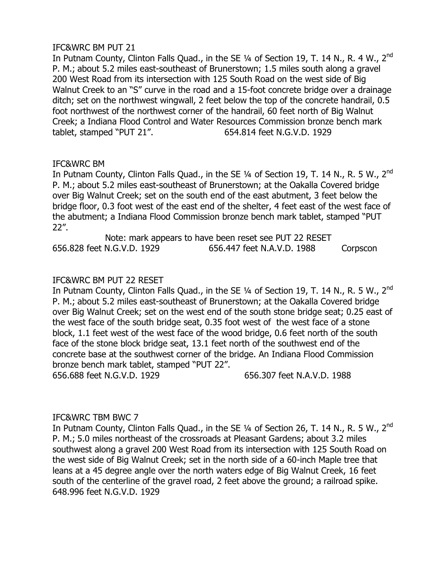In Putnam County, Clinton Falls Quad., in the SE 1/4 of Section 19, T. 14 N., R. 4 W., 2<sup>nd</sup> P. M.; about 5.2 miles east-southeast of Brunerstown; 1.5 miles south along a gravel 200 West Road from its intersection with 125 South Road on the west side of Big Walnut Creek to an "S" curve in the road and a 15-foot concrete bridge over a drainage ditch; set on the northwest wingwall, 2 feet below the top of the concrete handrail, 0.5 foot northwest of the northwest corner of the handrail, 60 feet north of Big Walnut Creek; a Indiana Flood Control and Water Resources Commission bronze bench mark tablet, stamped "PUT 21". 654.814 feet N.G.V.D. 1929

# IFC&WRC BM

In Putnam County, Clinton Falls Quad., in the SE 1/4 of Section 19, T. 14 N., R. 5 W., 2<sup>nd</sup> P. M.; about 5.2 miles east-southeast of Brunerstown; at the Oakalla Covered bridge over Big Walnut Creek; set on the south end of the east abutment, 3 feet below the bridge floor, 0.3 foot west of the east end of the shelter, 4 feet east of the west face of the abutment; a Indiana Flood Commission bronze bench mark tablet, stamped "PUT 22".

|                            | Note: mark appears to have been reset see PUT 22 RESET |          |
|----------------------------|--------------------------------------------------------|----------|
| 656.828 feet N.G.V.D. 1929 | 656.447 feet N.A.V.D. 1988                             | Corpscon |

# IFC&WRC BM PUT 22 RESET

In Putnam County, Clinton Falls Quad., in the SE 1/4 of Section 19, T. 14 N., R. 5 W., 2<sup>nd</sup> P. M.; about 5.2 miles east-southeast of Brunerstown; at the Oakalla Covered bridge over Big Walnut Creek; set on the west end of the south stone bridge seat; 0.25 east of the west face of the south bridge seat, 0.35 foot west of the west face of a stone block, 1.1 feet west of the west face of the wood bridge, 0.6 feet north of the south face of the stone block bridge seat, 13.1 feet north of the southwest end of the concrete base at the southwest corner of the bridge. An Indiana Flood Commission bronze bench mark tablet, stamped "PUT 22".

656.688 feet N.G.V.D. 1929 656.307 feet N.A.V.D. 1988

# IFC&WRC TBM BWC 7

In Putnam County, Clinton Falls Quad., in the SE 1/4 of Section 26, T. 14 N., R. 5 W., 2<sup>nd</sup> P. M.; 5.0 miles northeast of the crossroads at Pleasant Gardens; about 3.2 miles southwest along a gravel 200 West Road from its intersection with 125 South Road on the west side of Big Walnut Creek; set in the north side of a 60-inch Maple tree that leans at a 45 degree angle over the north waters edge of Big Walnut Creek, 16 feet south of the centerline of the gravel road, 2 feet above the ground; a railroad spike. 648.996 feet N.G.V.D. 1929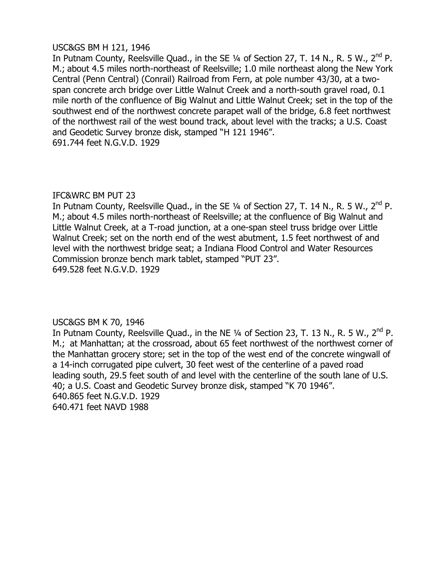# USC&GS BM H 121, 1946

In Putnam County, Reelsville Quad., in the SE  $\frac{1}{4}$  of Section 27, T. 14 N., R. 5 W., 2<sup>nd</sup> P. M.; about 4.5 miles north-northeast of Reelsville; 1.0 mile northeast along the New York Central (Penn Central) (Conrail) Railroad from Fern, at pole number 43/30, at a twospan concrete arch bridge over Little Walnut Creek and a north-south gravel road, 0.1 mile north of the confluence of Big Walnut and Little Walnut Creek; set in the top of the southwest end of the northwest concrete parapet wall of the bridge, 6.8 feet northwest of the northwest rail of the west bound track, about level with the tracks; a U.S. Coast and Geodetic Survey bronze disk, stamped "H 121 1946". 691.744 feet N.G.V.D. 1929

# IFC&WRC BM PUT 23

In Putnam County, Reelsville Quad., in the SE 1/4 of Section 27, T. 14 N., R. 5 W., 2<sup>nd</sup> P. M.; about 4.5 miles north-northeast of Reelsville; at the confluence of Big Walnut and Little Walnut Creek, at a T-road junction, at a one-span steel truss bridge over Little Walnut Creek; set on the north end of the west abutment, 1.5 feet northwest of and level with the northwest bridge seat; a Indiana Flood Control and Water Resources Commission bronze bench mark tablet, stamped "PUT 23". 649.528 feet N.G.V.D. 1929

# USC&GS BM K 70, 1946

In Putnam County, Reelsville Quad., in the NE 1/4 of Section 23, T. 13 N., R. 5 W., 2<sup>nd</sup> P. M.; at Manhattan; at the crossroad, about 65 feet northwest of the northwest corner of the Manhattan grocery store; set in the top of the west end of the concrete wingwall of a 14-inch corrugated pipe culvert, 30 feet west of the centerline of a paved road leading south, 29.5 feet south of and level with the centerline of the south lane of U.S. 40; a U.S. Coast and Geodetic Survey bronze disk, stamped "K 70 1946". 640.865 feet N.G.V.D. 1929 640.471 feet NAVD 1988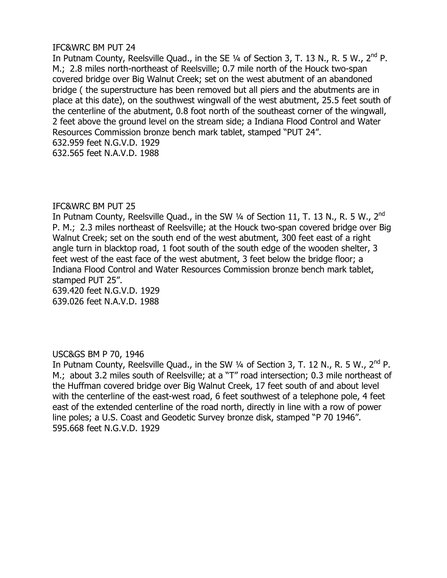In Putnam County, Reelsville Quad., in the SE  $\frac{1}{4}$  of Section 3, T. 13 N., R. 5 W., 2<sup>nd</sup> P. M.; 2.8 miles north-northeast of Reelsville; 0.7 mile north of the Houck two-span covered bridge over Big Walnut Creek; set on the west abutment of an abandoned bridge ( the superstructure has been removed but all piers and the abutments are in place at this date), on the southwest wingwall of the west abutment, 25.5 feet south of the centerline of the abutment, 0.8 foot north of the southeast corner of the wingwall, 2 feet above the ground level on the stream side; a Indiana Flood Control and Water Resources Commission bronze bench mark tablet, stamped "PUT 24". 632.959 feet N.G.V.D. 1929 632.565 feet N.A.V.D. 1988

# IFC&WRC BM PUT 25

In Putnam County, Reelsville Quad., in the SW 1/4 of Section 11, T. 13 N., R. 5 W., 2<sup>nd</sup> P. M.; 2.3 miles northeast of Reelsville; at the Houck two-span covered bridge over Big Walnut Creek; set on the south end of the west abutment, 300 feet east of a right angle turn in blacktop road, 1 foot south of the south edge of the wooden shelter, 3 feet west of the east face of the west abutment, 3 feet below the bridge floor; a Indiana Flood Control and Water Resources Commission bronze bench mark tablet, stamped PUT 25".

639.420 feet N.G.V.D. 1929 639.026 feet N.A.V.D. 1988

# USC&GS BM P 70, 1946

In Putnam County, Reelsville Quad., in the SW  $\frac{1}{4}$  of Section 3, T. 12 N., R. 5 W., 2<sup>nd</sup> P. M.; about 3.2 miles south of Reelsville; at a "T" road intersection; 0.3 mile northeast of the Huffman covered bridge over Big Walnut Creek, 17 feet south of and about level with the centerline of the east-west road, 6 feet southwest of a telephone pole, 4 feet east of the extended centerline of the road north, directly in line with a row of power line poles; a U.S. Coast and Geodetic Survey bronze disk, stamped "P 70 1946". 595.668 feet N.G.V.D. 1929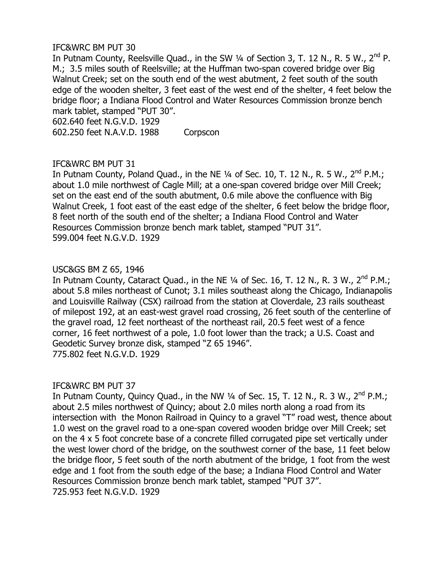In Putnam County, Reelsville Quad., in the SW  $\frac{1}{4}$  of Section 3, T. 12 N., R. 5 W., 2<sup>nd</sup> P. M.; 3.5 miles south of Reelsville; at the Huffman two-span covered bridge over Big Walnut Creek; set on the south end of the west abutment, 2 feet south of the south edge of the wooden shelter, 3 feet east of the west end of the shelter, 4 feet below the bridge floor; a Indiana Flood Control and Water Resources Commission bronze bench mark tablet, stamped "PUT 30".

602.640 feet N.G.V.D. 1929

602.250 feet N.A.V.D. 1988 Corpscon

# IFC&WRC BM PUT 31

In Putnam County, Poland Quad., in the NE  $\frac{1}{4}$  of Sec. 10, T. 12 N., R. 5 W., 2<sup>nd</sup> P.M.; about 1.0 mile northwest of Cagle Mill; at a one-span covered bridge over Mill Creek; set on the east end of the south abutment, 0.6 mile above the confluence with Big Walnut Creek, 1 foot east of the east edge of the shelter, 6 feet below the bridge floor, 8 feet north of the south end of the shelter; a Indiana Flood Control and Water Resources Commission bronze bench mark tablet, stamped "PUT 31". 599.004 feet N.G.V.D. 1929

# USC&GS BM Z 65, 1946

In Putnam County, Cataract Quad., in the NE  $\frac{1}{4}$  of Sec. 16, T. 12 N., R. 3 W., 2<sup>nd</sup> P.M.; about 5.8 miles northeast of Cunot; 3.1 miles southeast along the Chicago, Indianapolis and Louisville Railway (CSX) railroad from the station at Cloverdale, 23 rails southeast of milepost 192, at an east-west gravel road crossing, 26 feet south of the centerline of the gravel road, 12 feet northeast of the northeast rail, 20.5 feet west of a fence corner, 16 feet northwest of a pole, 1.0 foot lower than the track; a U.S. Coast and Geodetic Survey bronze disk, stamped "Z 65 1946". 775.802 feet N.G.V.D. 1929

# IFC&WRC BM PUT 37

In Putnam County, Quincy Quad., in the NW 1/4 of Sec. 15, T. 12 N., R. 3 W., 2<sup>nd</sup> P.M.; about 2.5 miles northwest of Quincy; about 2.0 miles north along a road from its intersection with the Monon Railroad in Quincy to a gravel "T" road west, thence about 1.0 west on the gravel road to a one-span covered wooden bridge over Mill Creek; set on the 4 x 5 foot concrete base of a concrete filled corrugated pipe set vertically under the west lower chord of the bridge, on the southwest corner of the base, 11 feet below the bridge floor, 5 feet south of the north abutment of the bridge, 1 foot from the west edge and 1 foot from the south edge of the base; a Indiana Flood Control and Water Resources Commission bronze bench mark tablet, stamped "PUT 37". 725.953 feet N.G.V.D. 1929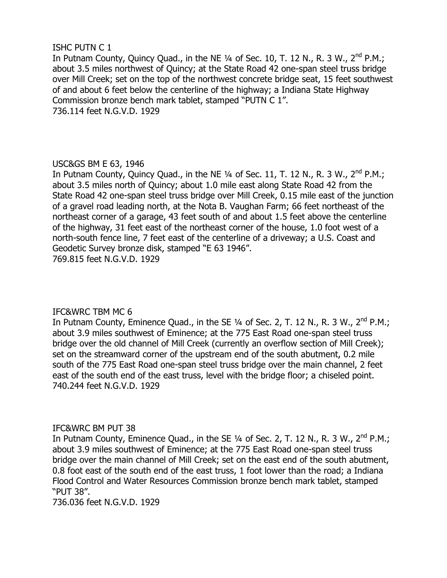# ISHC PUTN C 1

In Putnam County, Quincy Quad., in the NE  $\frac{1}{4}$  of Sec. 10, T. 12 N., R. 3 W., 2<sup>nd</sup> P.M.; about 3.5 miles northwest of Quincy; at the State Road 42 one-span steel truss bridge over Mill Creek; set on the top of the northwest concrete bridge seat, 15 feet southwest of and about 6 feet below the centerline of the highway; a Indiana State Highway Commission bronze bench mark tablet, stamped "PUTN C 1". 736.114 feet N.G.V.D. 1929

# USC&GS BM E 63, 1946

In Putnam County, Quincy Quad., in the NE  $\frac{1}{4}$  of Sec. 11, T. 12 N., R. 3 W., 2<sup>nd</sup> P.M.; about 3.5 miles north of Quincy; about 1.0 mile east along State Road 42 from the State Road 42 one-span steel truss bridge over Mill Creek, 0.15 mile east of the junction of a gravel road leading north, at the Nota B. Vaughan Farm; 66 feet northeast of the northeast corner of a garage, 43 feet south of and about 1.5 feet above the centerline of the highway, 31 feet east of the northeast corner of the house, 1.0 foot west of a north-south fence line, 7 feet east of the centerline of a driveway; a U.S. Coast and Geodetic Survey bronze disk, stamped "E 63 1946". 769.815 feet N.G.V.D. 1929

# IFC&WRC TBM MC 6

In Putnam County, Eminence Quad., in the SE  $\frac{1}{4}$  of Sec. 2, T. 12 N., R. 3 W., 2<sup>nd</sup> P.M.; about 3.9 miles southwest of Eminence; at the 775 East Road one-span steel truss bridge over the old channel of Mill Creek (currently an overflow section of Mill Creek); set on the streamward corner of the upstream end of the south abutment, 0.2 mile south of the 775 East Road one-span steel truss bridge over the main channel, 2 feet east of the south end of the east truss, level with the bridge floor; a chiseled point. 740.244 feet N.G.V.D. 1929

# IFC&WRC BM PUT 38

In Putnam County, Eminence Quad., in the SE  $\frac{1}{4}$  of Sec. 2, T. 12 N., R. 3 W., 2<sup>nd</sup> P.M.; about 3.9 miles southwest of Eminence; at the 775 East Road one-span steel truss bridge over the main channel of Mill Creek; set on the east end of the south abutment, 0.8 foot east of the south end of the east truss, 1 foot lower than the road; a Indiana Flood Control and Water Resources Commission bronze bench mark tablet, stamped "PUT 38".

736.036 feet N.G.V.D. 1929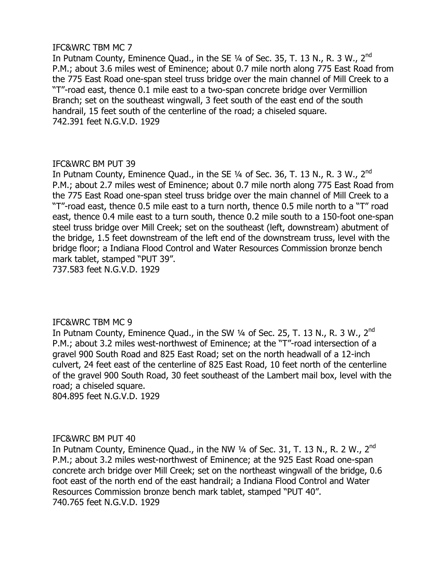# IFC&WRC TBM MC 7

In Putnam County, Eminence Quad., in the SE 1/4 of Sec. 35, T. 13 N., R. 3 W., 2<sup>nd</sup> P.M.; about 3.6 miles west of Eminence; about 0.7 mile north along 775 East Road from the 775 East Road one-span steel truss bridge over the main channel of Mill Creek to a "T"-road east, thence 0.1 mile east to a two-span concrete bridge over Vermillion Branch; set on the southeast wingwall, 3 feet south of the east end of the south handrail, 15 feet south of the centerline of the road; a chiseled square. 742.391 feet N.G.V.D. 1929

# IFC&WRC BM PUT 39

In Putnam County, Eminence Quad., in the SE 1/4 of Sec. 36, T. 13 N., R. 3 W., 2<sup>nd</sup> P.M.; about 2.7 miles west of Eminence; about 0.7 mile north along 775 East Road from the 775 East Road one-span steel truss bridge over the main channel of Mill Creek to a "T"-road east, thence 0.5 mile east to a turn north, thence 0.5 mile north to a "T" road east, thence 0.4 mile east to a turn south, thence 0.2 mile south to a 150-foot one-span steel truss bridge over Mill Creek; set on the southeast (left, downstream) abutment of the bridge, 1.5 feet downstream of the left end of the downstream truss, level with the bridge floor; a Indiana Flood Control and Water Resources Commission bronze bench mark tablet, stamped "PUT 39".

737.583 feet N.G.V.D. 1929

# IFC&WRC TBM MC 9

In Putnam County, Eminence Quad., in the SW  $\frac{1}{4}$  of Sec. 25, T. 13 N., R. 3 W., 2<sup>nd</sup> P.M.; about 3.2 miles west-northwest of Eminence; at the "T"-road intersection of a gravel 900 South Road and 825 East Road; set on the north headwall of a 12-inch culvert, 24 feet east of the centerline of 825 East Road, 10 feet north of the centerline of the gravel 900 South Road, 30 feet southeast of the Lambert mail box, level with the road; a chiseled square.

804.895 feet N.G.V.D. 1929

# IFC&WRC BM PUT 40

In Putnam County, Eminence Quad., in the NW  $\frac{1}{4}$  of Sec. 31, T. 13 N., R. 2 W., 2<sup>nd</sup> P.M.; about 3.2 miles west-northwest of Eminence; at the 925 East Road one-span concrete arch bridge over Mill Creek; set on the northeast wingwall of the bridge, 0.6 foot east of the north end of the east handrail; a Indiana Flood Control and Water Resources Commission bronze bench mark tablet, stamped "PUT 40". 740.765 feet N.G.V.D. 1929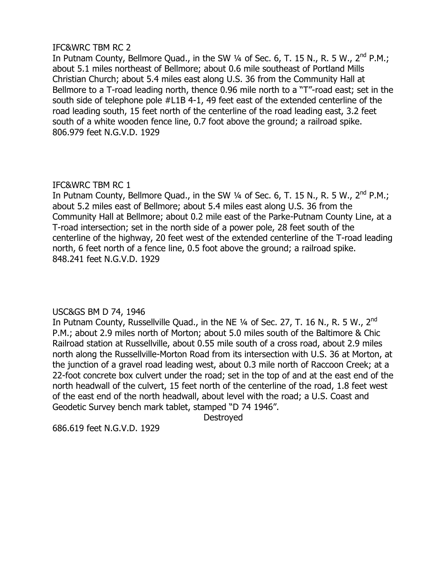# IFC&WRC TBM RC 2

In Putnam County, Bellmore Quad., in the SW  $\frac{1}{4}$  of Sec. 6, T. 15 N., R. 5 W., 2<sup>nd</sup> P.M.; about 5.1 miles northeast of Bellmore; about 0.6 mile southeast of Portland Mills Christian Church; about 5.4 miles east along U.S. 36 from the Community Hall at Bellmore to a T-road leading north, thence 0.96 mile north to a "T"-road east; set in the south side of telephone pole #L1B 4-1, 49 feet east of the extended centerline of the road leading south, 15 feet north of the centerline of the road leading east, 3.2 feet south of a white wooden fence line, 0.7 foot above the ground; a railroad spike. 806.979 feet N.G.V.D. 1929

# IFC&WRC TBM RC 1

In Putnam County, Bellmore Quad., in the SW  $\frac{1}{4}$  of Sec. 6, T. 15 N., R. 5 W., 2<sup>nd</sup> P.M.; about 5.2 miles east of Bellmore; about 5.4 miles east along U.S. 36 from the Community Hall at Bellmore; about 0.2 mile east of the Parke-Putnam County Line, at a T-road intersection; set in the north side of a power pole, 28 feet south of the centerline of the highway, 20 feet west of the extended centerline of the T-road leading north, 6 feet north of a fence line, 0.5 foot above the ground; a railroad spike. 848.241 feet N.G.V.D. 1929

# USC&GS BM D 74, 1946

In Putnam County, Russellville Quad., in the NE 1/4 of Sec. 27, T. 16 N., R. 5 W., 2<sup>nd</sup> P.M.; about 2.9 miles north of Morton; about 5.0 miles south of the Baltimore & Chic Railroad station at Russellville, about 0.55 mile south of a cross road, about 2.9 miles north along the Russellville-Morton Road from its intersection with U.S. 36 at Morton, at the junction of a gravel road leading west, about 0.3 mile north of Raccoon Creek; at a 22-foot concrete box culvert under the road; set in the top of and at the east end of the north headwall of the culvert, 15 feet north of the centerline of the road, 1.8 feet west of the east end of the north headwall, about level with the road; a U.S. Coast and Geodetic Survey bench mark tablet, stamped "D 74 1946".

Destroyed

686.619 feet N.G.V.D. 1929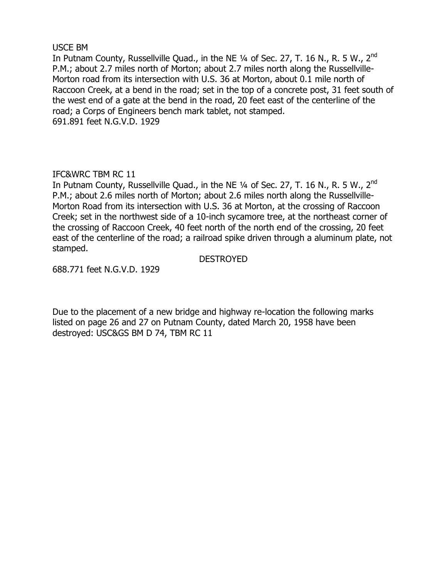## USCE BM

In Putnam County, Russellville Quad., in the NE 1/4 of Sec. 27, T. 16 N., R. 5 W., 2<sup>nd</sup> P.M.; about 2.7 miles north of Morton; about 2.7 miles north along the Russellville-Morton road from its intersection with U.S. 36 at Morton, about 0.1 mile north of Raccoon Creek, at a bend in the road; set in the top of a concrete post, 31 feet south of the west end of a gate at the bend in the road, 20 feet east of the centerline of the road; a Corps of Engineers bench mark tablet, not stamped. 691.891 feet N.G.V.D. 1929

# IFC&WRC TBM RC 11

In Putnam County, Russellville Quad., in the NE 1/4 of Sec. 27, T. 16 N., R. 5 W., 2<sup>nd</sup> P.M.; about 2.6 miles north of Morton; about 2.6 miles north along the Russellville-Morton Road from its intersection with U.S. 36 at Morton, at the crossing of Raccoon Creek; set in the northwest side of a 10-inch sycamore tree, at the northeast corner of the crossing of Raccoon Creek, 40 feet north of the north end of the crossing, 20 feet east of the centerline of the road; a railroad spike driven through a aluminum plate, not stamped.

#### DESTROYED

688.771 feet N.G.V.D. 1929

Due to the placement of a new bridge and highway re-location the following marks listed on page 26 and 27 on Putnam County, dated March 20, 1958 have been destroyed: USC&GS BM D 74, TBM RC 11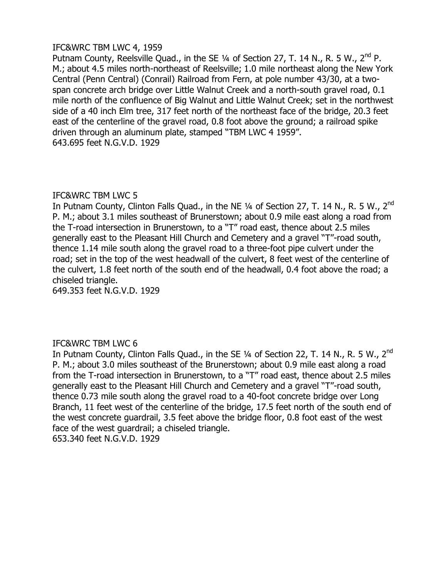# IFC&WRC TBM LWC 4, 1959

Putnam County, Reelsville Quad., in the SE  $\frac{1}{4}$  of Section 27, T. 14 N., R. 5 W., 2<sup>nd</sup> P. M.; about 4.5 miles north-northeast of Reelsville; 1.0 mile northeast along the New York Central (Penn Central) (Conrail) Railroad from Fern, at pole number 43/30, at a twospan concrete arch bridge over Little Walnut Creek and a north-south gravel road, 0.1 mile north of the confluence of Big Walnut and Little Walnut Creek; set in the northwest side of a 40 inch Elm tree, 317 feet north of the northeast face of the bridge, 20.3 feet east of the centerline of the gravel road, 0.8 foot above the ground; a railroad spike driven through an aluminum plate, stamped "TBM LWC 4 1959". 643.695 feet N.G.V.D. 1929

# IFC&WRC TBM LWC 5

In Putnam County, Clinton Falls Quad., in the NE 1/4 of Section 27, T. 14 N., R. 5 W., 2<sup>nd</sup> P. M.; about 3.1 miles southeast of Brunerstown; about 0.9 mile east along a road from the T-road intersection in Brunerstown, to a "T" road east, thence about 2.5 miles generally east to the Pleasant Hill Church and Cemetery and a gravel "T"-road south, thence 1.14 mile south along the gravel road to a three-foot pipe culvert under the road; set in the top of the west headwall of the culvert, 8 feet west of the centerline of the culvert, 1.8 feet north of the south end of the headwall, 0.4 foot above the road; a chiseled triangle.

649.353 feet N.G.V.D. 1929

# IFC&WRC TBM LWC 6

In Putnam County, Clinton Falls Quad., in the SE 1/4 of Section 22, T. 14 N., R. 5 W., 2<sup>nd</sup> P. M.; about 3.0 miles southeast of the Brunerstown; about 0.9 mile east along a road from the T-road intersection in Brunerstown, to a "T" road east, thence about 2.5 miles generally east to the Pleasant Hill Church and Cemetery and a gravel "T"-road south, thence 0.73 mile south along the gravel road to a 40-foot concrete bridge over Long Branch, 11 feet west of the centerline of the bridge, 17.5 feet north of the south end of the west concrete guardrail, 3.5 feet above the bridge floor, 0.8 foot east of the west face of the west guardrail; a chiseled triangle. 653.340 feet N.G.V.D. 1929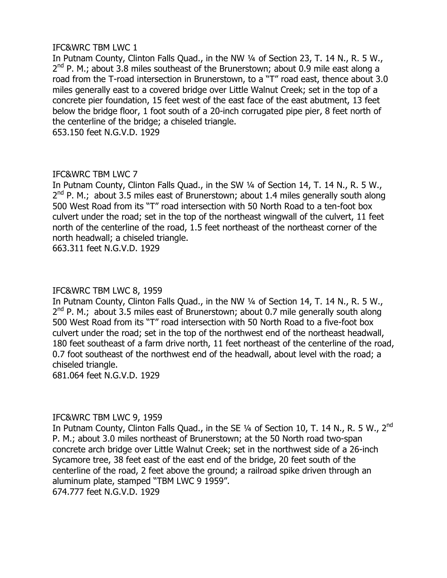# IFC&WRC TBM LWC 1

In Putnam County, Clinton Falls Quad., in the NW ¼ of Section 23, T. 14 N., R. 5 W.,  $2^{nd}$  P. M.; about 3.8 miles southeast of the Brunerstown; about 0.9 mile east along a road from the T-road intersection in Brunerstown, to a "T" road east, thence about 3.0 miles generally east to a covered bridge over Little Walnut Creek; set in the top of a concrete pier foundation, 15 feet west of the east face of the east abutment, 13 feet below the bridge floor, 1 foot south of a 20-inch corrugated pipe pier, 8 feet north of the centerline of the bridge; a chiseled triangle.

653.150 feet N.G.V.D. 1929

# IFC&WRC TBM LWC 7

In Putnam County, Clinton Falls Quad., in the SW ¼ of Section 14, T. 14 N., R. 5 W.,  $2^{nd}$  P. M.; about 3.5 miles east of Brunerstown; about 1.4 miles generally south along 500 West Road from its "T" road intersection with 50 North Road to a ten-foot box culvert under the road; set in the top of the northeast wingwall of the culvert, 11 feet north of the centerline of the road, 1.5 feet northeast of the northeast corner of the north headwall; a chiseled triangle.

663.311 feet N.G.V.D. 1929

# IFC&WRC TBM LWC 8, 1959

In Putnam County, Clinton Falls Quad., in the NW ¼ of Section 14, T. 14 N., R. 5 W.,  $2^{nd}$  P. M.; about 3.5 miles east of Brunerstown; about 0.7 mile generally south along 500 West Road from its "T" road intersection with 50 North Road to a five-foot box culvert under the road; set in the top of the northwest end of the northeast headwall, 180 feet southeast of a farm drive north, 11 feet northeast of the centerline of the road, 0.7 foot southeast of the northwest end of the headwall, about level with the road; a chiseled triangle.

681.064 feet N.G.V.D. 1929

# IFC&WRC TBM LWC 9, 1959

In Putnam County, Clinton Falls Quad., in the SE 1/4 of Section 10, T. 14 N., R. 5 W., 2<sup>nd</sup> P. M.; about 3.0 miles northeast of Brunerstown; at the 50 North road two-span concrete arch bridge over Little Walnut Creek; set in the northwest side of a 26-inch Sycamore tree, 38 feet east of the east end of the bridge, 20 feet south of the centerline of the road, 2 feet above the ground; a railroad spike driven through an aluminum plate, stamped "TBM LWC 9 1959". 674.777 feet N.G.V.D. 1929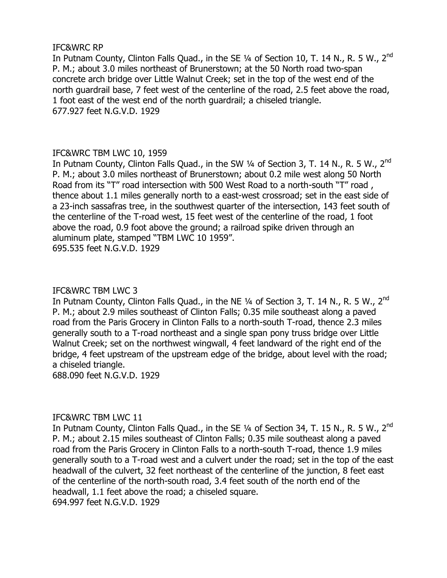# IFC&WRC RP

In Putnam County, Clinton Falls Quad., in the SE 1/4 of Section 10, T. 14 N., R. 5 W., 2<sup>nd</sup> P. M.; about 3.0 miles northeast of Brunerstown; at the 50 North road two-span concrete arch bridge over Little Walnut Creek; set in the top of the west end of the north guardrail base, 7 feet west of the centerline of the road, 2.5 feet above the road, 1 foot east of the west end of the north guardrail; a chiseled triangle. 677.927 feet N.G.V.D. 1929

# IFC&WRC TBM LWC 10, 1959

In Putnam County, Clinton Falls Quad., in the SW 1/4 of Section 3, T. 14 N., R. 5 W., 2<sup>nd</sup> P. M.; about 3.0 miles northeast of Brunerstown; about 0.2 mile west along 50 North Road from its "T" road intersection with 500 West Road to a north-south "T" road , thence about 1.1 miles generally north to a east-west crossroad; set in the east side of a 23-inch sassafras tree, in the southwest quarter of the intersection, 143 feet south of the centerline of the T-road west, 15 feet west of the centerline of the road, 1 foot above the road, 0.9 foot above the ground; a railroad spike driven through an aluminum plate, stamped "TBM LWC 10 1959". 695.535 feet N.G.V.D. 1929

# IFC&WRC TBM LWC 3

In Putnam County, Clinton Falls Quad., in the NE 1/4 of Section 3, T. 14 N., R. 5 W., 2<sup>nd</sup> P. M.; about 2.9 miles southeast of Clinton Falls; 0.35 mile southeast along a paved road from the Paris Grocery in Clinton Falls to a north-south T-road, thence 2.3 miles generally south to a T-road northeast and a single span pony truss bridge over Little Walnut Creek; set on the northwest wingwall, 4 feet landward of the right end of the bridge, 4 feet upstream of the upstream edge of the bridge, about level with the road; a chiseled triangle.

688.090 feet N.G.V.D. 1929

# IFC&WRC TBM LWC 11

In Putnam County, Clinton Falls Quad., in the SE 1/4 of Section 34, T. 15 N., R. 5 W., 2<sup>nd</sup> P. M.; about 2.15 miles southeast of Clinton Falls; 0.35 mile southeast along a paved road from the Paris Grocery in Clinton Falls to a north-south T-road, thence 1.9 miles generally south to a T-road west and a culvert under the road; set in the top of the east headwall of the culvert, 32 feet northeast of the centerline of the junction, 8 feet east of the centerline of the north-south road, 3.4 feet south of the north end of the headwall, 1.1 feet above the road; a chiseled square. 694.997 feet N.G.V.D. 1929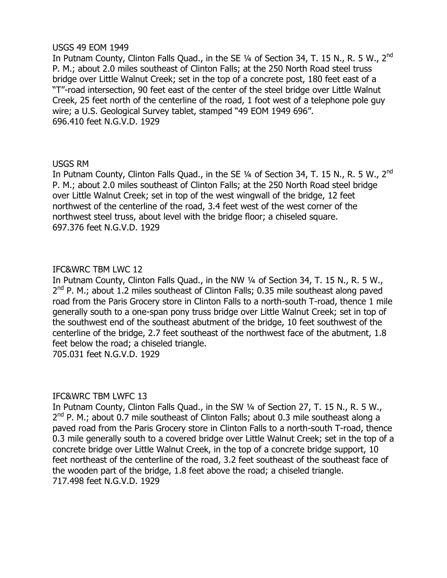# USGS 49 EOM 1949

In Putnam County, Clinton Falls Quad., in the SE 1/4 of Section 34, T. 15 N., R. 5 W., 2<sup>nd</sup> P. M.; about 2.0 miles southeast of Clinton Falls; at the 250 North Road steel truss bridge over Little Walnut Creek; set in the top of a concrete post, 180 feet east of a "T"-road intersection, 90 feet east of the center of the steel bridge over Little Walnut Creek, 25 feet north of the centerline of the road, 1 foot west of a telephone pole guy wire; a U.S. Geological Survey tablet, stamped "49 EOM 1949 696". 696.410 feet N.G.V.D. 1929

# USGS RM

In Putnam County, Clinton Falls Quad., in the SE 1/4 of Section 34, T. 15 N., R. 5 W., 2<sup>nd</sup> P. M.; about 2.0 miles southeast of Clinton Falls; at the 250 North Road steel bridge over Little Walnut Creek; set in top of the west wingwall of the bridge, 12 feet northwest of the centerline of the road, 3.4 feet west of the west corner of the northwest steel truss, about level with the bridge floor; a chiseled square. 697.376 feet N.G.V.D. 1929

# IFC&WRC TBM LWC 12

In Putnam County, Clinton Falls Quad., in the NW ¼ of Section 34, T. 15 N., R. 5 W.,  $2^{nd}$  P. M.; about 1.2 miles southeast of Clinton Falls; 0.35 mile southeast along paved road from the Paris Grocery store in Clinton Falls to a north-south T-road, thence 1 mile generally south to a one-span pony truss bridge over Little Walnut Creek; set in top of the southwest end of the southeast abutment of the bridge, 10 feet southwest of the centerline of the bridge, 2.7 feet southeast of the northwest face of the abutment, 1.8 feet below the road; a chiseled triangle. 705.031 feet N.G.V.D. 1929

# IFC&WRC TBM LWFC 13

In Putnam County, Clinton Falls Quad., in the SW ¼ of Section 27, T. 15 N., R. 5 W., 2<sup>nd</sup> P. M.; about 0.7 mile southeast of Clinton Falls; about 0.3 mile southeast along a paved road from the Paris Grocery store in Clinton Falls to a north-south T-road, thence 0.3 mile generally south to a covered bridge over Little Walnut Creek; set in the top of a concrete bridge over Little Walnut Creek, in the top of a concrete bridge support, 10 feet northeast of the centerline of the road, 3.2 feet southeast of the southeast face of the wooden part of the bridge, 1.8 feet above the road; a chiseled triangle. 717.498 feet N.G.V.D. 1929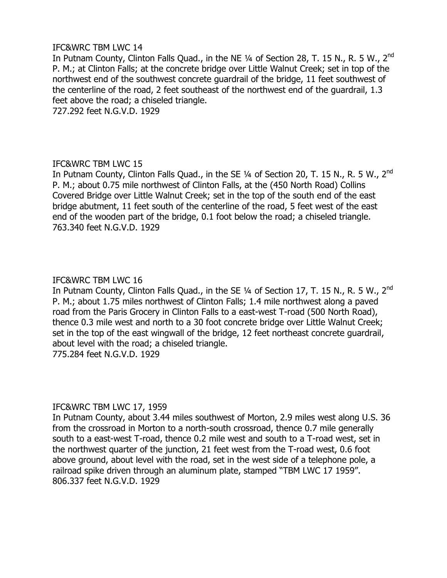# IFC&WRC TBM LWC 14

In Putnam County, Clinton Falls Quad., in the NE 1/4 of Section 28, T. 15 N., R. 5 W., 2<sup>nd</sup> P. M.; at Clinton Falls; at the concrete bridge over Little Walnut Creek; set in top of the northwest end of the southwest concrete guardrail of the bridge, 11 feet southwest of the centerline of the road, 2 feet southeast of the northwest end of the guardrail, 1.3 feet above the road; a chiseled triangle.

727.292 feet N.G.V.D. 1929

# IFC&WRC TBM LWC 15

In Putnam County, Clinton Falls Quad., in the SE 1/4 of Section 20, T. 15 N., R. 5 W., 2<sup>nd</sup> P. M.; about 0.75 mile northwest of Clinton Falls, at the (450 North Road) Collins Covered Bridge over Little Walnut Creek; set in the top of the south end of the east bridge abutment, 11 feet south of the centerline of the road, 5 feet west of the east end of the wooden part of the bridge, 0.1 foot below the road; a chiseled triangle. 763.340 feet N.G.V.D. 1929

# IFC&WRC TBM LWC 16

In Putnam County, Clinton Falls Quad., in the SE 1/4 of Section 17, T. 15 N., R. 5 W., 2<sup>nd</sup> P. M.; about 1.75 miles northwest of Clinton Falls; 1.4 mile northwest along a paved road from the Paris Grocery in Clinton Falls to a east-west T-road (500 North Road), thence 0.3 mile west and north to a 30 foot concrete bridge over Little Walnut Creek; set in the top of the east wingwall of the bridge, 12 feet northeast concrete guardrail, about level with the road; a chiseled triangle. 775.284 feet N.G.V.D. 1929

# IFC&WRC TBM LWC 17, 1959

In Putnam County, about 3.44 miles southwest of Morton, 2.9 miles west along U.S. 36 from the crossroad in Morton to a north-south crossroad, thence 0.7 mile generally south to a east-west T-road, thence 0.2 mile west and south to a T-road west, set in the northwest quarter of the junction, 21 feet west from the T-road west, 0.6 foot above ground, about level with the road, set in the west side of a telephone pole, a railroad spike driven through an aluminum plate, stamped "TBM LWC 17 1959". 806.337 feet N.G.V.D. 1929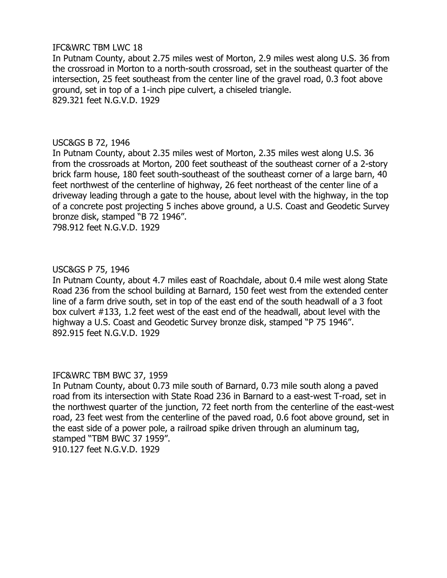# IFC&WRC TBM LWC 18

In Putnam County, about 2.75 miles west of Morton, 2.9 miles west along U.S. 36 from the crossroad in Morton to a north-south crossroad, set in the southeast quarter of the intersection, 25 feet southeast from the center line of the gravel road, 0.3 foot above ground, set in top of a 1-inch pipe culvert, a chiseled triangle. 829.321 feet N.G.V.D. 1929

#### USC&GS B 72, 1946

In Putnam County, about 2.35 miles west of Morton, 2.35 miles west along U.S. 36 from the crossroads at Morton, 200 feet southeast of the southeast corner of a 2-story brick farm house, 180 feet south-southeast of the southeast corner of a large barn, 40 feet northwest of the centerline of highway, 26 feet northeast of the center line of a driveway leading through a gate to the house, about level with the highway, in the top of a concrete post projecting 5 inches above ground, a U.S. Coast and Geodetic Survey bronze disk, stamped "B 72 1946". 798.912 feet N.G.V.D. 1929

#### USC&GS P 75, 1946

In Putnam County, about 4.7 miles east of Roachdale, about 0.4 mile west along State Road 236 from the school building at Barnard, 150 feet west from the extended center line of a farm drive south, set in top of the east end of the south headwall of a 3 foot box culvert #133, 1.2 feet west of the east end of the headwall, about level with the highway a U.S. Coast and Geodetic Survey bronze disk, stamped "P 75 1946". 892.915 feet N.G.V.D. 1929

#### IFC&WRC TBM BWC 37, 1959

In Putnam County, about 0.73 mile south of Barnard, 0.73 mile south along a paved road from its intersection with State Road 236 in Barnard to a east-west T-road, set in the northwest quarter of the junction, 72 feet north from the centerline of the east-west road, 23 feet west from the centerline of the paved road, 0.6 foot above ground, set in the east side of a power pole, a railroad spike driven through an aluminum tag, stamped "TBM BWC 37 1959". 910.127 feet N.G.V.D. 1929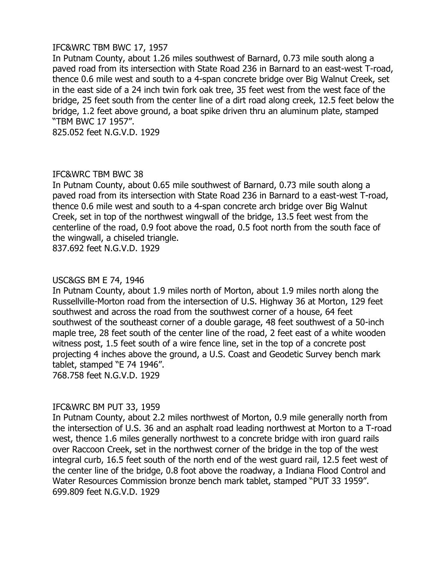## IFC&WRC TBM BWC 17, 1957

In Putnam County, about 1.26 miles southwest of Barnard, 0.73 mile south along a paved road from its intersection with State Road 236 in Barnard to an east-west T-road, thence 0.6 mile west and south to a 4-span concrete bridge over Big Walnut Creek, set in the east side of a 24 inch twin fork oak tree, 35 feet west from the west face of the bridge, 25 feet south from the center line of a dirt road along creek, 12.5 feet below the bridge, 1.2 feet above ground, a boat spike driven thru an aluminum plate, stamped "TBM BWC 17 1957".

825.052 feet N.G.V.D. 1929

# IFC&WRC TBM BWC 38

In Putnam County, about 0.65 mile southwest of Barnard, 0.73 mile south along a paved road from its intersection with State Road 236 in Barnard to a east-west T-road, thence 0.6 mile west and south to a 4-span concrete arch bridge over Big Walnut Creek, set in top of the northwest wingwall of the bridge, 13.5 feet west from the centerline of the road, 0.9 foot above the road, 0.5 foot north from the south face of the wingwall, a chiseled triangle.

837.692 feet N.G.V.D. 1929

# USC&GS BM E 74, 1946

In Putnam County, about 1.9 miles north of Morton, about 1.9 miles north along the Russellville-Morton road from the intersection of U.S. Highway 36 at Morton, 129 feet southwest and across the road from the southwest corner of a house, 64 feet southwest of the southeast corner of a double garage, 48 feet southwest of a 50-inch maple tree, 28 feet south of the center line of the road, 2 feet east of a white wooden witness post, 1.5 feet south of a wire fence line, set in the top of a concrete post projecting 4 inches above the ground, a U.S. Coast and Geodetic Survey bench mark tablet, stamped "E 74 1946". 768.758 feet N.G.V.D. 1929

# IFC&WRC BM PUT 33, 1959

In Putnam County, about 2.2 miles northwest of Morton, 0.9 mile generally north from the intersection of U.S. 36 and an asphalt road leading northwest at Morton to a T-road west, thence 1.6 miles generally northwest to a concrete bridge with iron guard rails over Raccoon Creek, set in the northwest corner of the bridge in the top of the west integral curb, 16.5 feet south of the north end of the west guard rail, 12.5 feet west of the center line of the bridge, 0.8 foot above the roadway, a Indiana Flood Control and Water Resources Commission bronze bench mark tablet, stamped "PUT 33 1959". 699.809 feet N.G.V.D. 1929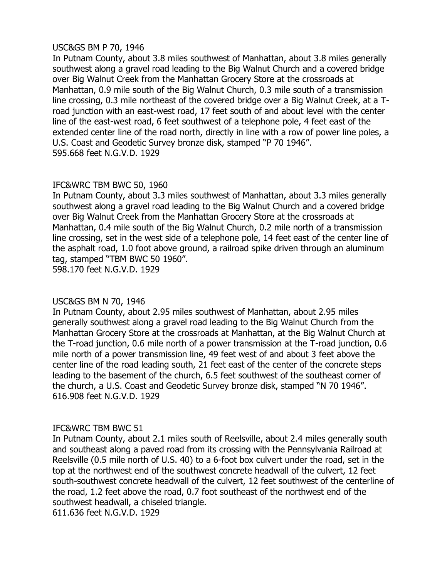# USC&GS BM P 70, 1946

In Putnam County, about 3.8 miles southwest of Manhattan, about 3.8 miles generally southwest along a gravel road leading to the Big Walnut Church and a covered bridge over Big Walnut Creek from the Manhattan Grocery Store at the crossroads at Manhattan, 0.9 mile south of the Big Walnut Church, 0.3 mile south of a transmission line crossing, 0.3 mile northeast of the covered bridge over a Big Walnut Creek, at a Troad junction with an east-west road, 17 feet south of and about level with the center line of the east-west road, 6 feet southwest of a telephone pole, 4 feet east of the extended center line of the road north, directly in line with a row of power line poles, a U.S. Coast and Geodetic Survey bronze disk, stamped "P 70 1946". 595.668 feet N.G.V.D. 1929

# IFC&WRC TBM BWC 50, 1960

In Putnam County, about 3.3 miles southwest of Manhattan, about 3.3 miles generally southwest along a gravel road leading to the Big Walnut Church and a covered bridge over Big Walnut Creek from the Manhattan Grocery Store at the crossroads at Manhattan, 0.4 mile south of the Big Walnut Church, 0.2 mile north of a transmission line crossing, set in the west side of a telephone pole, 14 feet east of the center line of the asphalt road, 1.0 foot above ground, a railroad spike driven through an aluminum tag, stamped "TBM BWC 50 1960".

598.170 feet N.G.V.D. 1929

# USC&GS BM N 70, 1946

In Putnam County, about 2.95 miles southwest of Manhattan, about 2.95 miles generally southwest along a gravel road leading to the Big Walnut Church from the Manhattan Grocery Store at the crossroads at Manhattan, at the Big Walnut Church at the T-road junction, 0.6 mile north of a power transmission at the T-road junction, 0.6 mile north of a power transmission line, 49 feet west of and about 3 feet above the center line of the road leading south, 21 feet east of the center of the concrete steps leading to the basement of the church, 6.5 feet southwest of the southeast corner of the church, a U.S. Coast and Geodetic Survey bronze disk, stamped "N 70 1946". 616.908 feet N.G.V.D. 1929

# IFC&WRC TBM BWC 51

In Putnam County, about 2.1 miles south of Reelsville, about 2.4 miles generally south and southeast along a paved road from its crossing with the Pennsylvania Railroad at Reelsville (0.5 mile north of U.S. 40) to a 6-foot box culvert under the road, set in the top at the northwest end of the southwest concrete headwall of the culvert, 12 feet south-southwest concrete headwall of the culvert, 12 feet southwest of the centerline of the road, 1.2 feet above the road, 0.7 foot southeast of the northwest end of the southwest headwall, a chiseled triangle.

611.636 feet N.G.V.D. 1929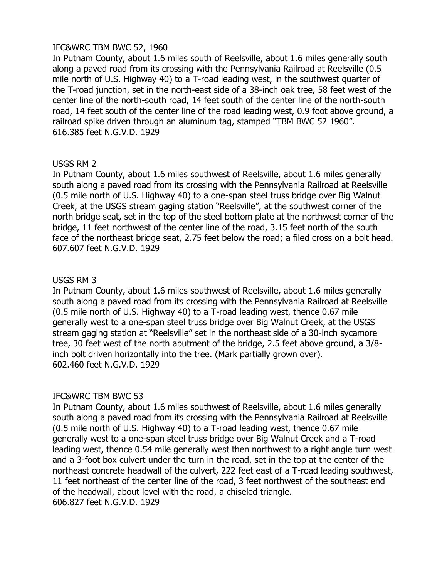# IFC&WRC TBM BWC 52, 1960

In Putnam County, about 1.6 miles south of Reelsville, about 1.6 miles generally south along a paved road from its crossing with the Pennsylvania Railroad at Reelsville (0.5 mile north of U.S. Highway 40) to a T-road leading west, in the southwest quarter of the T-road junction, set in the north-east side of a 38-inch oak tree, 58 feet west of the center line of the north-south road, 14 feet south of the center line of the north-south road, 14 feet south of the center line of the road leading west, 0.9 foot above ground, a railroad spike driven through an aluminum tag, stamped "TBM BWC 52 1960". 616.385 feet N.G.V.D. 1929

# USGS RM 2

In Putnam County, about 1.6 miles southwest of Reelsville, about 1.6 miles generally south along a paved road from its crossing with the Pennsylvania Railroad at Reelsville (0.5 mile north of U.S. Highway 40) to a one-span steel truss bridge over Big Walnut Creek, at the USGS stream gaging station "Reelsville", at the southwest corner of the north bridge seat, set in the top of the steel bottom plate at the northwest corner of the bridge, 11 feet northwest of the center line of the road, 3.15 feet north of the south face of the northeast bridge seat, 2.75 feet below the road; a filed cross on a bolt head. 607.607 feet N.G.V.D. 1929

# USGS RM 3

In Putnam County, about 1.6 miles southwest of Reelsville, about 1.6 miles generally south along a paved road from its crossing with the Pennsylvania Railroad at Reelsville (0.5 mile north of U.S. Highway 40) to a T-road leading west, thence 0.67 mile generally west to a one-span steel truss bridge over Big Walnut Creek, at the USGS stream gaging station at "Reelsville" set in the northeast side of a 30-inch sycamore tree, 30 feet west of the north abutment of the bridge, 2.5 feet above ground, a 3/8 inch bolt driven horizontally into the tree. (Mark partially grown over). 602.460 feet N.G.V.D. 1929

# IFC&WRC TBM BWC 53

In Putnam County, about 1.6 miles southwest of Reelsville, about 1.6 miles generally south along a paved road from its crossing with the Pennsylvania Railroad at Reelsville (0.5 mile north of U.S. Highway 40) to a T-road leading west, thence 0.67 mile generally west to a one-span steel truss bridge over Big Walnut Creek and a T-road leading west, thence 0.54 mile generally west then northwest to a right angle turn west and a 3-foot box culvert under the turn in the road, set in the top at the center of the northeast concrete headwall of the culvert, 222 feet east of a T-road leading southwest, 11 feet northeast of the center line of the road, 3 feet northwest of the southeast end of the headwall, about level with the road, a chiseled triangle. 606.827 feet N.G.V.D. 1929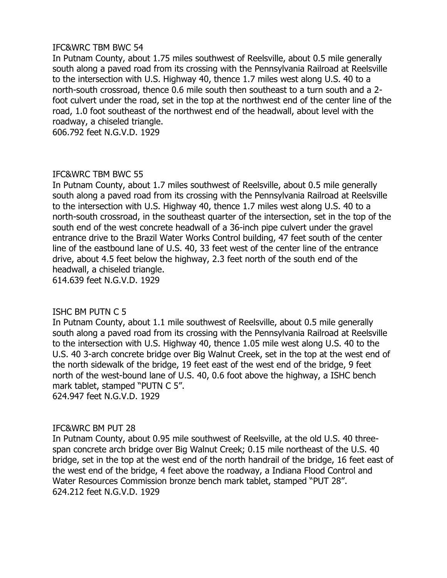# IFC&WRC TBM BWC 54

In Putnam County, about 1.75 miles southwest of Reelsville, about 0.5 mile generally south along a paved road from its crossing with the Pennsylvania Railroad at Reelsville to the intersection with U.S. Highway 40, thence 1.7 miles west along U.S. 40 to a north-south crossroad, thence 0.6 mile south then southeast to a turn south and a 2 foot culvert under the road, set in the top at the northwest end of the center line of the road, 1.0 foot southeast of the northwest end of the headwall, about level with the roadway, a chiseled triangle.

606.792 feet N.G.V.D. 1929

#### IFC&WRC TBM BWC 55

In Putnam County, about 1.7 miles southwest of Reelsville, about 0.5 mile generally south along a paved road from its crossing with the Pennsylvania Railroad at Reelsville to the intersection with U.S. Highway 40, thence 1.7 miles west along U.S. 40 to a north-south crossroad, in the southeast quarter of the intersection, set in the top of the south end of the west concrete headwall of a 36-inch pipe culvert under the gravel entrance drive to the Brazil Water Works Control building, 47 feet south of the center line of the eastbound lane of U.S. 40, 33 feet west of the center line of the entrance drive, about 4.5 feet below the highway, 2.3 feet north of the south end of the headwall, a chiseled triangle.

614.639 feet N.G.V.D. 1929

# ISHC BM PUTN C 5

In Putnam County, about 1.1 mile southwest of Reelsville, about 0.5 mile generally south along a paved road from its crossing with the Pennsylvania Railroad at Reelsville to the intersection with U.S. Highway 40, thence 1.05 mile west along U.S. 40 to the U.S. 40 3-arch concrete bridge over Big Walnut Creek, set in the top at the west end of the north sidewalk of the bridge, 19 feet east of the west end of the bridge, 9 feet north of the west-bound lane of U.S. 40, 0.6 foot above the highway, a ISHC bench mark tablet, stamped "PUTN C 5". 624.947 feet N.G.V.D. 1929

# IFC&WRC BM PUT 28

In Putnam County, about 0.95 mile southwest of Reelsville, at the old U.S. 40 threespan concrete arch bridge over Big Walnut Creek; 0.15 mile northeast of the U.S. 40 bridge, set in the top at the west end of the north handrail of the bridge, 16 feet east of the west end of the bridge, 4 feet above the roadway, a Indiana Flood Control and Water Resources Commission bronze bench mark tablet, stamped "PUT 28". 624.212 feet N.G.V.D. 1929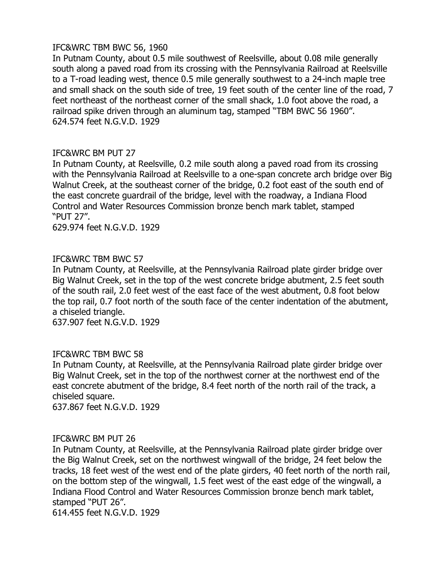# IFC&WRC TBM BWC 56, 1960

In Putnam County, about 0.5 mile southwest of Reelsville, about 0.08 mile generally south along a paved road from its crossing with the Pennsylvania Railroad at Reelsville to a T-road leading west, thence 0.5 mile generally southwest to a 24-inch maple tree and small shack on the south side of tree, 19 feet south of the center line of the road, 7 feet northeast of the northeast corner of the small shack, 1.0 foot above the road, a railroad spike driven through an aluminum tag, stamped "TBM BWC 56 1960". 624.574 feet N.G.V.D. 1929

# IFC&WRC BM PUT 27

In Putnam County, at Reelsville, 0.2 mile south along a paved road from its crossing with the Pennsylvania Railroad at Reelsville to a one-span concrete arch bridge over Big Walnut Creek, at the southeast corner of the bridge, 0.2 foot east of the south end of the east concrete guardrail of the bridge, level with the roadway, a Indiana Flood Control and Water Resources Commission bronze bench mark tablet, stamped "PUT 27".

629.974 feet N.G.V.D. 1929

# IFC&WRC TBM BWC 57

In Putnam County, at Reelsville, at the Pennsylvania Railroad plate girder bridge over Big Walnut Creek, set in the top of the west concrete bridge abutment, 2.5 feet south of the south rail, 2.0 feet west of the east face of the west abutment, 0.8 foot below the top rail, 0.7 foot north of the south face of the center indentation of the abutment, a chiseled triangle.

637.907 feet N.G.V.D. 1929

# IFC&WRC TBM BWC 58

In Putnam County, at Reelsville, at the Pennsylvania Railroad plate girder bridge over Big Walnut Creek, set in the top of the northwest corner at the northwest end of the east concrete abutment of the bridge, 8.4 feet north of the north rail of the track, a chiseled square.

637.867 feet N.G.V.D. 1929

#### IFC&WRC BM PUT 26

In Putnam County, at Reelsville, at the Pennsylvania Railroad plate girder bridge over the Big Walnut Creek, set on the northwest wingwall of the bridge, 24 feet below the tracks, 18 feet west of the west end of the plate girders, 40 feet north of the north rail, on the bottom step of the wingwall, 1.5 feet west of the east edge of the wingwall, a Indiana Flood Control and Water Resources Commission bronze bench mark tablet, stamped "PUT 26".

614.455 feet N.G.V.D. 1929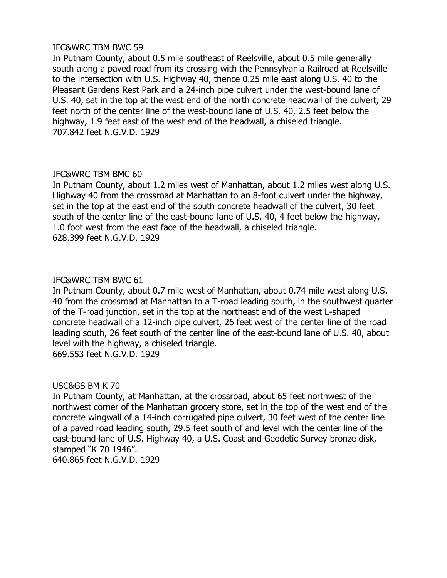# IFC&WRC TBM BWC 59

In Putnam County, about 0.5 mile southeast of Reelsville, about 0.5 mile generally south along a paved road from its crossing with the Pennsylvania Railroad at Reelsville to the intersection with U.S. Highway 40, thence 0.25 mile east along U.S. 40 to the Pleasant Gardens Rest Park and a 24-inch pipe culvert under the west-bound lane of U.S. 40, set in the top at the west end of the north concrete headwall of the culvert, 29 feet north of the center line of the west-bound lane of U.S. 40, 2.5 feet below the highway, 1.9 feet east of the west end of the headwall, a chiseled triangle. 707.842 feet N.G.V.D. 1929

#### IFC&WRC TBM BMC 60

In Putnam County, about 1.2 miles west of Manhattan, about 1.2 miles west along U.S. Highway 40 from the crossroad at Manhattan to an 8-foot culvert under the highway, set in the top at the east end of the south concrete headwall of the culvert, 30 feet south of the center line of the east-bound lane of U.S. 40, 4 feet below the highway, 1.0 foot west from the east face of the headwall, a chiseled triangle. 628.399 feet N.G.V.D. 1929

#### IFC&WRC TBM BWC 61

In Putnam County, about 0.7 mile west of Manhattan, about 0.74 mile west along U.S. 40 from the crossroad at Manhattan to a T-road leading south, in the southwest quarter of the T-road junction, set in the top at the northeast end of the west L-shaped concrete headwall of a 12-inch pipe culvert, 26 feet west of the center line of the road leading south, 26 feet south of the center line of the east-bound lane of U.S. 40, about level with the highway, a chiseled triangle.

669.553 feet N.G.V.D. 1929

# USC&GS BM K 70

In Putnam County, at Manhattan, at the crossroad, about 65 feet northwest of the northwest corner of the Manhattan grocery store, set in the top of the west end of the concrete wingwall of a 14-inch corrugated pipe culvert, 30 feet west of the center line of a paved road leading south, 29.5 feet south of and level with the center line of the east-bound lane of U.S. Highway 40, a U.S. Coast and Geodetic Survey bronze disk, stamped "K 70 1946".

640.865 feet N.G.V.D. 1929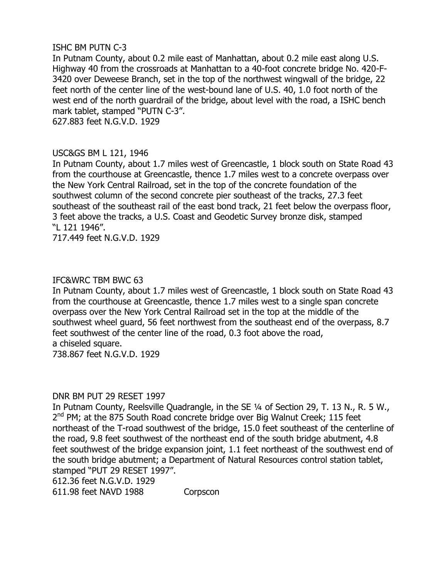# ISHC BM PUTN C-3

In Putnam County, about 0.2 mile east of Manhattan, about 0.2 mile east along U.S. Highway 40 from the crossroads at Manhattan to a 40-foot concrete bridge No. 420-F-3420 over Deweese Branch, set in the top of the northwest wingwall of the bridge, 22 feet north of the center line of the west-bound lane of U.S. 40, 1.0 foot north of the west end of the north guardrail of the bridge, about level with the road, a ISHC bench mark tablet, stamped "PUTN C-3".

627.883 feet N.G.V.D. 1929

# USC&GS BM L 121, 1946

In Putnam County, about 1.7 miles west of Greencastle, 1 block south on State Road 43 from the courthouse at Greencastle, thence 1.7 miles west to a concrete overpass over the New York Central Railroad, set in the top of the concrete foundation of the southwest column of the second concrete pier southeast of the tracks, 27.3 feet southeast of the southeast rail of the east bond track, 21 feet below the overpass floor, 3 feet above the tracks, a U.S. Coast and Geodetic Survey bronze disk, stamped "L 121 1946".

717.449 feet N.G.V.D. 1929

# IFC&WRC TBM BWC 63

In Putnam County, about 1.7 miles west of Greencastle, 1 block south on State Road 43 from the courthouse at Greencastle, thence 1.7 miles west to a single span concrete overpass over the New York Central Railroad set in the top at the middle of the southwest wheel guard, 56 feet northwest from the southeast end of the overpass, 8.7 feet southwest of the center line of the road, 0.3 foot above the road, a chiseled square.

738.867 feet N.G.V.D. 1929

# DNR BM PUT 29 RESET 1997

In Putnam County, Reelsville Quadrangle, in the SE ¼ of Section 29, T. 13 N., R. 5 W., 2<sup>nd</sup> PM; at the 875 South Road concrete bridge over Big Walnut Creek; 115 feet northeast of the T-road southwest of the bridge, 15.0 feet southeast of the centerline of the road, 9.8 feet southwest of the northeast end of the south bridge abutment, 4.8 feet southwest of the bridge expansion joint, 1.1 feet northeast of the southwest end of the south bridge abutment; a Department of Natural Resources control station tablet, stamped "PUT 29 RESET 1997".

612.36 feet N.G.V.D. 1929

611.98 feet NAVD 1988 Corpscon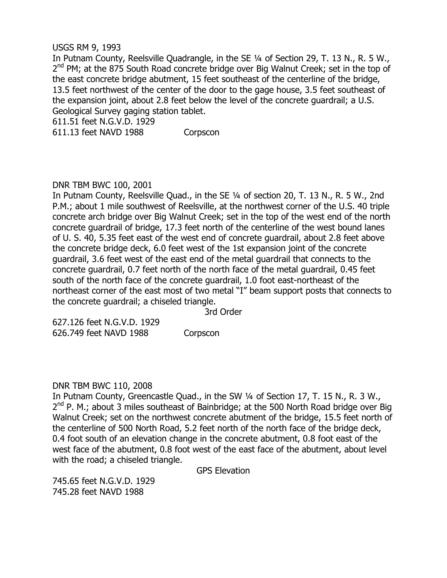#### USGS RM 9, 1993

In Putnam County, Reelsville Quadrangle, in the SE ¼ of Section 29, T. 13 N., R. 5 W., 2<sup>nd</sup> PM; at the 875 South Road concrete bridge over Big Walnut Creek; set in the top of the east concrete bridge abutment, 15 feet southeast of the centerline of the bridge, 13.5 feet northwest of the center of the door to the gage house, 3.5 feet southeast of the expansion joint, about 2.8 feet below the level of the concrete guardrail; a U.S. Geological Survey gaging station tablet.

611.51 feet N.G.V.D. 1929

611.13 feet NAVD 1988 Corpscon

#### DNR TBM BWC 100, 2001

In Putnam County, Reelsville Quad., in the SE ¼ of section 20, T. 13 N., R. 5 W., 2nd P.M.; about 1 mile southwest of Reelsville, at the northwest corner of the U.S. 40 triple concrete arch bridge over Big Walnut Creek; set in the top of the west end of the north concrete guardrail of bridge, 17.3 feet north of the centerline of the west bound lanes of U. S. 40, 5.35 feet east of the west end of concrete guardrail, about 2.8 feet above the concrete bridge deck, 6.0 feet west of the 1st expansion joint of the concrete guardrail, 3.6 feet west of the east end of the metal guardrail that connects to the concrete guardrail, 0.7 feet north of the north face of the metal guardrail, 0.45 feet south of the north face of the concrete guardrail, 1.0 foot east-northeast of the northeast corner of the east most of two metal "I" beam support posts that connects to the concrete guardrail; a chiseled triangle.

3rd Order

627.126 feet N.G.V.D. 1929 626.749 feet NAVD 1988 Corpscon

#### DNR TBM BWC 110, 2008

In Putnam County, Greencastle Quad., in the SW ¼ of Section 17, T. 15 N., R. 3 W., 2<sup>nd</sup> P. M.; about 3 miles southeast of Bainbridge; at the 500 North Road bridge over Big Walnut Creek; set on the northwest concrete abutment of the bridge, 15.5 feet north of the centerline of 500 North Road, 5.2 feet north of the north face of the bridge deck, 0.4 foot south of an elevation change in the concrete abutment, 0.8 foot east of the west face of the abutment, 0.8 foot west of the east face of the abutment, about level with the road; a chiseled triangle.

GPS Elevation

745.65 feet N.G.V.D. 1929 745.28 feet NAVD 1988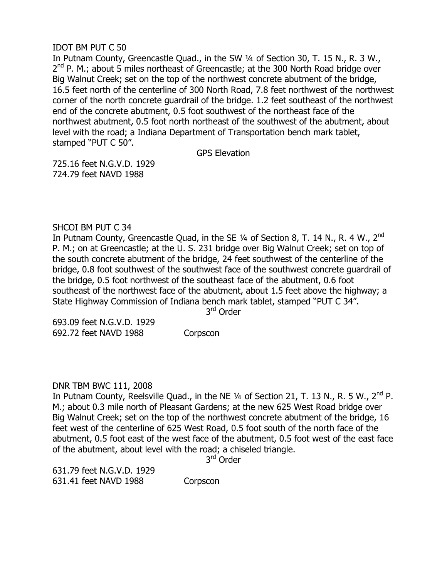# IDOT BM PUT C 50

In Putnam County, Greencastle Quad., in the SW ¼ of Section 30, T. 15 N., R. 3 W., 2<sup>nd</sup> P. M.; about 5 miles northeast of Greencastle; at the 300 North Road bridge over Big Walnut Creek; set on the top of the northwest concrete abutment of the bridge, 16.5 feet north of the centerline of 300 North Road, 7.8 feet northwest of the northwest corner of the north concrete guardrail of the bridge. 1.2 feet southeast of the northwest end of the concrete abutment, 0.5 foot southwest of the northeast face of the northwest abutment, 0.5 foot north northeast of the southwest of the abutment, about level with the road; a Indiana Department of Transportation bench mark tablet, stamped "PUT C 50".

GPS Elevation

725.16 feet N.G.V.D. 1929 724.79 feet NAVD 1988

# SHCOI BM PUT C 34

In Putnam County, Greencastle Quad, in the SE  $\frac{1}{4}$  of Section 8, T. 14 N., R. 4 W., 2<sup>nd</sup> P. M.; on at Greencastle; at the U. S. 231 bridge over Big Walnut Creek; set on top of the south concrete abutment of the bridge, 24 feet southwest of the centerline of the bridge, 0.8 foot southwest of the southwest face of the southwest concrete guardrail of the bridge, 0.5 foot northwest of the southeast face of the abutment, 0.6 foot southeast of the northwest face of the abutment, about 1.5 feet above the highway; a State Highway Commission of Indiana bench mark tablet, stamped "PUT C 34".

3<sup>rd</sup> Order

693.09 feet N.G.V.D. 1929 692.72 feet NAVD 1988 Corpscon

# DNR TBM BWC 111, 2008

In Putnam County, Reelsville Quad., in the NE  $\frac{1}{4}$  of Section 21, T. 13 N., R. 5 W., 2<sup>nd</sup> P. M.; about 0.3 mile north of Pleasant Gardens; at the new 625 West Road bridge over Big Walnut Creek; set on the top of the northwest concrete abutment of the bridge, 16 feet west of the centerline of 625 West Road, 0.5 foot south of the north face of the abutment, 0.5 foot east of the west face of the abutment, 0.5 foot west of the east face of the abutment, about level with the road; a chiseled triangle.

3<sup>rd</sup> Order

631.79 feet N.G.V.D. 1929 631.41 feet NAVD 1988 Corpscon